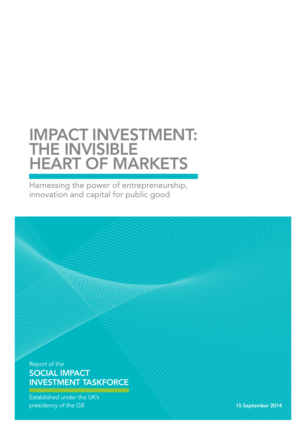# IMPACT INVESTMENT: THE INVISIBLE HEART OF MARKETS

Harnessing the power of entrepreneurship, innovation and capital for public good

Report of the SOCIAL IMPACT INVESTMENT TASKFORCE

Established under the UK's presidency of the G8 15 September 2014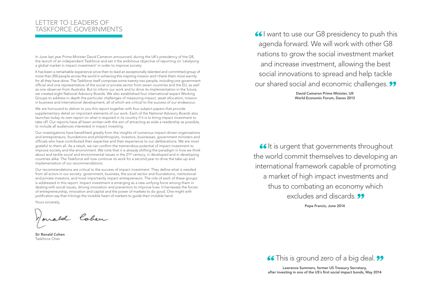Pope Francis, June 2014

David Cameron Prime Minister, UK World Economic Forum, Davos 2013

66 It is urgent that governments throughout the world commit themselves to developing an international framework capable of promoting a market of high impact investments and thus to combating an economy which excludes and discards. **99** 



Lawrence Summers, former US Treasury Secretary, after investing in one of the US's first social impact bonds, May 2014

In June last year Prime Minister David Cameron announced, during the UK's presidency of the G8, the launch of an independent Taskforce and set it the ambitious objective of reporting on 'catalysing a global market in impact investment' in order to improve society.

It has been a remarkable experience since then to lead an exceptionally talented and committed group of more than 200 people across the world in achieving this inspiring mission and I thank them most warmly for all they have done. The Taskforce itself comprises some twenty-two people, including one government official and one representative of the social or private sector from seven countries and the EU, as well as one observer from Australia. But to inform our work and to drive its implementation in the future, we created eight National Advisory Boards. We also established four international expert Working Groups to address in depth the particular challenges of measuring impact, asset allocation, mission in business and international development, all of which are critical to the success of our endeavour.

We are honoured to deliver to you this report together with four subject papers that provide supplementary detail on important elements of our work. Each of the National Advisory Boards also launches today its own report on what is required in its country if it is to bring impact investment to take off. Our reports have all been written with the aim of attracting as wide a readership as possible, to include all audiences interested in impact investing.

Our investigations have benefitted greatly from the insights of numerous impact-driven organisations and entrepreneurs, foundations and philanthropists, investors, businesses, government ministers and officials who have contributed their expertise and their experience to our deliberations. We are most grateful to them all. As a result, we can confirm the tremendous potential of impact investment to improve society and the environment. We note that it is already shifting the paradigm in how we think about and tackle social and environmental issues in the 21st century, in developed and in developing countries alike. The Taskforce will now continue its work for a second year to drive the take-up and implementation of our recommendations.

Our recommendations are critical to the success of impact investment. They define what is needed from all actors in our society: government, business, the social sector and foundations, institutional and private investors, and most importantly impact entrepreneurs. The role of each of these groups is addressed in this report. Impact investment is emerging as a new unifying force among them in dealing with social issues, driving innovation and prevention to improve lives. It harnesses the forces of entrepreneurship, innovation and capital and the power of markets to do good. One might with justification say that it brings the invisible heart of markets to guide their invisible hand.

Yours sincerely,

Wonald Cohen

Sir Ronald Cohen Taskforce Chair

66 I want to use our G8 presidency to push this agenda forward. We will work with other G8 nations to grow the social investment market and increase investment, allowing the best social innovations to spread and help tackle our shared social and economic challenges. 99

# LETTER TO LEADERS OF TASKFORCE GOVERNMENTS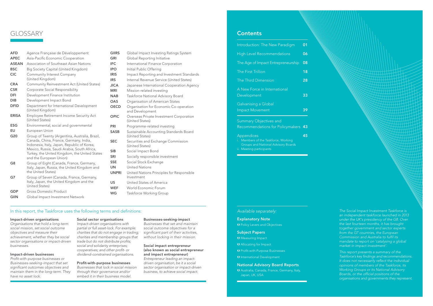*The Social Impact Investment Taskforce is an independent taskforce launched in 2013 under the UK's presidency of the G8. Over the last fourteen months, it has brought together government and sector experts from the G7 countries, the European Commission and Australia to fulfil its mandate to report on 'catalysing a global market in impact investment'.* 

*This report presents a summary of the Taskforce's key findings and recommendations. It does not necessarily reflect the individual opinions of members of the Taskforce, its Working Groups or its National Advisory Boards, or the official positions of the organisations and governments they represent.*

# **GLOSSARY**

| Introduction: The New Paradigm                                                                                               | 01 |
|------------------------------------------------------------------------------------------------------------------------------|----|
| <b>High Level Recommendations</b>                                                                                            | 06 |
| The Age of Impact Entrepreneurship                                                                                           | 08 |
| The First Trillion                                                                                                           | 18 |
| The Third Dimension                                                                                                          | 28 |
| A New Force in International<br>Development                                                                                  | 33 |
| Galvanising a Global<br><b>Impact Movement</b>                                                                               | 39 |
| <b>Summary Objectives and</b><br>Recommendations for Policymakers                                                            | 43 |
| Appendices<br>i. Members of the Taskforce, Working<br><b>Groups and National Advisory Boards</b><br>ii. Meeting participants | 45 |

- AFD Agence Française de Développement APEC Asia-Pacific Economic Cooperation ASEAN Association of Southeast Asian Nations **BSC** Big Society Capital (United Kingdom) CIC Community Interest Company (United Kingdom) CRA Community Reinvestment Act (United States) **CSR** Corporate Social Responsibility **DFI** Development Finance Institution **DIB** Development Impact Bond **DFID** Department for International Development (United Kingdom) ERISA Employee Retirement Income Security Act (United States) **ESG** Environmental, social and governmental EU European Union G20 Group of Twenty (Argentina, Australia, Brazil, Canada, China, France, Germany, India, Indonesia, Italy, Japan, Republic of Korea, Mexico, Russia, Saudi Arabia, South Africa, Turkey, the United Kingdom, the United States and the European Union) G8 Group of Eight (Canada, France, Germany, Italy, Japan, Russia, the United Kingdom and the United States) G7 Group of Seven (Canada, France, Germany, Italy, Japan, the United Kingdom and the United States) GDP Gross Domestic Product
- **GIIN** Global Impact Investment Network

# **GIIRS** Global Impact Investing Ratings System **GRI** Global Reporting Initiative **IFC** International Finance Corporation **IPO** Initial Public Offering **IRIS** Impact Reporting and Investment Standards **IRS** Internal Revenue Service (United States) **JICA** Japanese International Cooperation Agency **MRI** Mission-related investing **NAB** Taskforce National Advisory Board **OAS** Organisation of American States **OECD** Organisation for Economic Co-operation and Development **OPIC** Overseas Private Investment Corporation (United States) **PRI** Programme-related investing **SASB** Sustainable Accounting Standards Board (United States) **SEC** Securities and Exchange Commission (United States) SIB Social Impact Bond **SRI** Socially responsible investment

- SSE Social Stock Exchange UN United Nations UNPRI United Nations Principles for Responsible Investment
- US United States of America
- WEF World Economic Forum
- WG Taskforce Working Group

# In this report, the Taskforce uses the following terms and definitions:

## Impact-driven organisations

*Organisations that hold a long-term social mission, set social outcome objectives and measure their achievement, whether they be social sector organisations or impact-driven businesses.*

# Impact-driven businesses

*Profit-with-purpose businesses or Businesses-seeking-impact that set significant outcomes objectives and maintain them in the long-term. They have no asset lock.*

## Social sector organisations

*Impact-driven organisations with partial or full asset-lock. For example: charities that do not engage in trading; charities and membership groups that trade but do not distribute profits; social and solidarity enterprises; cooperatives; and other profit- or dividend-constrained organisations.* 

## Profit-with-purpose businesses

*Businesses that lock in social mission through their governance and/or embed it in their business model.*

## Businesses-seeking-impact

*Businesses that set and maintain social outcome objectives for a significant part of their activities, without locking in their mission.*

# Social impact entrepreneur (also known as social entrepreneur and impact entrepreneur)

*Entrepreneur leading an impactdriven organisation, be it a social sector organisation or impact-driven business, to achieve social impact.*

# **Contents**

# *Available separately:*

# Explanatory Note

**O** Policy Levers and Objectives

# Subject Papers

**U** Measuring Impact

Allocating for Impact

**O** Profit-with-Purpose Businesses

**U** International Development

## National Advisory Board Reports

 Australia, Canada, France, Germany, Italy, Japan, UK, USA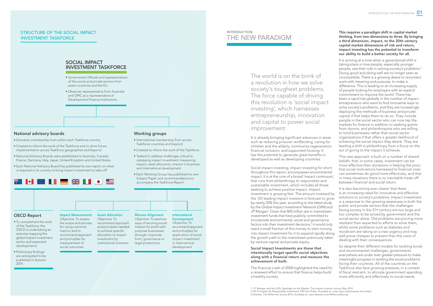The world is on the brink of a revolution in how we solve society's toughest problems. The force capable of driving this revolution is 'social impact investing', which harnesses entrepreneurship, innovation and capital to power social improvement.

It is already bringing significant advances in areas such as reducing prisoner reoffending, caring for children and the elderly, community regeneration, financial inclusion, and supported housing. It has the potential to generate great benefits in developed as well as developing countries.

Social impact investing, impact investing for short throughout this report, encompasses environmental impact. It is at the core of a broad 'impact continuum', that runs from philanthropy to responsible and sustainable investment, which includes all those seeking to achieve positive impact. Impact investment is growing fast. The amount invested by the 125 leading impact investors is forecast to grow by nearly 20% this year, according to the latest study by the *Global Impact Investment Network (GIIN)* and JP Morgan.<sup>1</sup> Given that \$45 trillion are in mainstream investment funds that have publicly committed to incorporate environmental, social and governance factors into their investment decisions,<sup>2</sup> it would only need a small fraction of this money to start moving into impact investment for it to expand rapidly along the growth path to the mainstream previously taken by venture capital and private equity.

## Social Impact Investments are those that intentionally target specific social objectives along with a financial return and measure the achievement of both.

The financial crash of 2008 highlighted the need for a renewed effort to ensure that finance helps build a healthy society.

This requires a paradigm shift in capital market thinking, from two-dimensions to three. By bringing a third dimension, impact, to the 20th century capital market dimensions of risk and return, impact investing has the potential to transform our ability to build a better society for all.

# **INTRODUCTION** THE NEW PARADIGM

It is arriving at a time when a generational shift is taking place in how people, especially younger people, see their role in solving society's problems.<sup>3</sup> Doing good and doing well are no longer seen as incompatible. There is a growing desire to reconnect work with meaning and purpose, to make a difference. This is leading to an increasing supply of people looking for employers with an explicit commitment to improve the world. There has been a rapid rise globally in the number of impact entrepreneurs who want to find innovative ways to solve society's problems, and they are increasingly deploying the methods of business and private capital if that helps them to do so. They include people in the social sector who can now tap the markets for finance in addition to seeking grants from donors, and philanthropists who are willing to fund businesses rather than social sector organisations if that offers a greater likelihood of achieving the social impact they desire. They are leading a shift in philanthropy from a focus on the act of giving to the impact it achieves.

- Domestic membership from within each Taskforce country
- Created to inform the work of the Taskforce and to drive future implementation across Taskforce geographies and beyond
- National Advisory Boards were established in Australia, Canada, France, Germany, Italy, Japan, United Kingdom and United States
- Each National Advisory Board has published its own report on what is required in its country to bring impact investment to take-off

# 

This new approach is built on a number of shared beliefs: that, in some cases, investment can be more effective than donations in helping the poor; that social motivations harnessed to financial ones can sometimes do good more effectively; and that in many situations there is no inevitable trade-off between financial and social return.

It is also becoming ever clearer that there is an increasing need for innovative and effective solutions to society's problems. Impact investment is a response to the growing awareness in both the public and private sectors that the challenges facing society in the 21<sup>st</sup> century are too large and too complex to be solved by government and the social sector alone. Old problems are proving more resistant than expected to efforts to solve them, whilst some problems such as diabetes and recidivism are taking on a new urgency and may well prove cheaper to prevent than the costs of dealing with their consequences.

So despite their different models for tackling social and environmental challenges, governments everywhere are under ever greater pressure to make meaningful progress in tackling the social problems facing their countries. All of the countries on the Taskforce also face growing pressure, in a context of fiscal restraint, to allocate government spending more efficiently and effectively to social needs.

1 J.P. Morgan and the GIIN, Spotlight on the Market: The Impact Investor Survey, May 2014 2 UN Principles for Responsible Investment, PRI Fact Sheet. Available at: www.unpri.org/news/pri-fact-sheet 3 Deloitte, The Millennial Survey 2014, Available at: www.deloitte.com/MillennialSurvey

# STRUCTURE OF THE SOCIAL IMPACT INVESTMENT TASKFORCE

# SOCIAL IMPACT INVESTMENT TASKFORCE

- Government officials and representatives of the social and private sectors from seven countries and the EU
- Observer representative from Australia and OPIC as a representative of Development Finance Institutions

## • To complement the work of the Taskforce, the OECD is undertaking an exercise mapping the global impact investment sector and expected developments

• Preliminary findings are anticipated to be published in Autumn 2014

- International membership from across Taskforce countries and beyond
- Created to inform the work of the Taskforce
- Tasked to address challenges critical to catalysing impact investment: measuring impact, asset allocation, mission in business and international development
- Each Working Group has published its own Subject Paper and recommendations to accompany the Taskforce Report

# National advisory boards



metrics and to

measurement of social outcomes

# Working groups

the scope and process for using outcome recommend approach and principles for recommend approach and principles needed to achieve specific allocation to impact investment by institutional investors

ways of securing social mission for profit-withpurpose businesses through corporate form, governance or legal protections

*Objective:* To recommend approach and principles for application of social impact investment in international development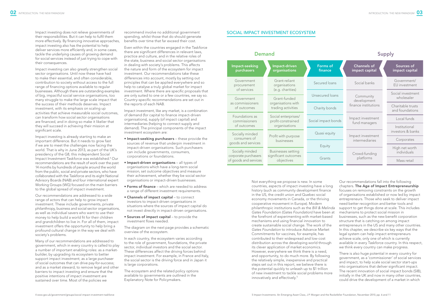Impact investing can also greatly strengthen social sector organisations. Until now these have had to make their essential, and often considerable, contribution to society without access to the full range of financing options available to regular businesses. Although there are outstanding examples of big, impactful social service organisations, too many struggle to make the large scale impact that the success of their methods deserves. Impact investment, with its emphasis on scaling up activities that achieve measurable social outcomes, can transform how social sector organisations are financed, and in doing so make it likelier that they will succeed in achieving their mission at significant scale.

Impact investing does not relieve governments of their responsibilities. But it can help to fulfil them more effectively. By financing innovative approaches, impact investing also has the potential to help deliver services more efficiently and, in some cases, tackle the underlying causes of growing demand for social services instead of just trying to cope with their consequences.

Impact investing is already starting to make an important difference. But it needs to grow fast if we are to meet the challenges now facing the world. That is why in June 2013, as part of the UK's presidency of the G8, this independent Social Impact Investment Taskforce was established.4 Our recommendations are the result of work over the past 14 months by hundreds of people around the world from the public, social and private sectors, who have collaborated with the Taskforce and its eight National Advisory Boards (NAB) and four international expert Working Groups (WG) focused on the main barriers to the global spread of impact investment.

Our recommendations are addressed to a wide range of actors that can help to grow impact investment. These include governments, private philanthropy, business and social sector organisations, as well as individual savers who want to use their money to help build a world fit for their children and grandchildren to live in. For all of them, impact investment offers the opportunity to help bring a profound cultural change in the way we deal with society's problems.

Many of our recommendations are addressed to government, which in every country is called to play a number of important enabling roles: as a marketbuilder, by upgrading its ecosystem to better support impact investment; as a large purchaser of social outcomes that can drive pay-for-success; and as a market steward, to remove legal and other barriers to impact investing and ensure that the positive intentions of impact investment are sustained over time. Most of the policies we

recommend involve no additional government spending, whilst those that do should generate benefits over time that far exceed their cost.

> Not everything we propose is new. In some countries, aspects of impact investing have a lo history (such as community development finance in the US, the credit union and Quebec social economy movements in Canada, or the thriving cooperative movement in Europe). Modern philanthropic institutions such as the *Bill & Mel Gates Foundation (Gates Foundation)* have been the forefront of experimenting with market-bas mechanisms and using financial innovation to create sustainable social change. The work of the *Gates Foundation* to introduce Advance Marke Commitments for vaccines, for example, has contributed to their widespread and low-cost distribution across the developing world through its clever application of market economics. However, everywhere we think there is a need, and opportunity, to do much more. By followin the relatively simple, inexpensive and practical steps set out in this report, we believe there is the potential quickly to unleash up to \$1 trillion of new investment to tackle social problems mo innovatively and effectively.<sup>5</sup>

Even within the countries engaged in the Taskforce there are significant differences in relevant laws, practice and culture, and in the relative roles of the state, business and social sector organisations in dealing with society's problems. This affects the nature and form of the ecosystem for impact investment. Our recommendations take these differences into account, mostly by setting out principles that can be applied everywhere and so help to catalyse a truly global market for impact investment. Where there are specific proposals that are only suited to one or a few countries, we say so. Country-specific recommendations are set out in the reports of each NAB.

Impact investment, like any market, is a combination of demand (for capital to finance impact-driven organisations), supply (of impact capital) and intermediaries (helping to connect supply and demand). The principal components of the impact investment ecosystem are:

- Impact-seeking purchasers these provide the sources of revenue that underpin investment in impact-driven organisations. Such purchasers can include governments, consumers, corporations or foundations.
- Impact-driven organisations all types of organisations which have a long-term social mission, set outcome objectives and measure their achievement, whether they be social sector organisations or impact-driven businesses.
- Forms of finance which are needed to address a range of different investment requirements.
- Channels of impact capital to connect investors to impact-driven organisations in situations where the sources of impact capital do not invest directly in impact-driven organisations.
- Sources of impact capital to provide the investment flows needed.

The diagram on the next page provides a schematic overview of the ecosystem.

In each country, the ecosystem varies according to the role of government, foundations, the private sector, individual investors and the social sector. These differences affect the driving forces behind impact investment. For example, in France and Italy, the social sector is the driving force and in Japan it is large corporations.

The ecosystem and the related policy options available to governments are outlined in the Explanatory Note for Policymakers.

| Impact-seeking<br>purchasers                                                | Impact-driven<br>organisations                     | <b>Forms of</b><br>finance | <b>Channels of</b><br>impact capital | Sources of<br>impact capital         |
|-----------------------------------------------------------------------------|----------------------------------------------------|----------------------------|--------------------------------------|--------------------------------------|
| Government<br>procurement<br>of services                                    | Grant-reliant<br>organisations<br>(e.g. charities) | Secured loans              | Social banks                         | Government/<br>EU investment         |
| Government                                                                  | Grant-funded                                       | Unsecured loans            | Community<br>development             | Social investment<br>wholesaler      |
| as commissioners<br>organisations with<br>trading activities<br>of outcomes |                                                    | Charity bonds              | finance institutions                 | Charitable trusts<br>and foundations |
| Foundations as<br>commissioners                                             | Social enterprises/<br>profit-constrained          | Social impact bonds        | Impact investment<br>fund managers   | Local funds                          |
|                                                                             | organisations<br>of outcomes                       |                            |                                      | Institutional<br>investors & banks   |
| Socially minded<br>consumers of                                             | Profit with purpose                                | Quasi equity               | Impact investment                    |                                      |
| goods and services                                                          | businesses                                         |                            | intermediaries                       | Corporates                           |
| Socially minded                                                             | <b>Businesses setting</b>                          | Equity                     | Crowd-funding                        | High net worth<br>individuals        |
| corporate purchasers<br>of goods and services                               | significant outcomes<br>objectives                 | Grants                     | platforms                            | Mass retail                          |

# SOCIAL IMPACT INVESTMENT ECOSYSTEM

# Demand Supply Supply

|                | Our recommendations fall into the following                                                                                                                                                                            |
|----------------|------------------------------------------------------------------------------------------------------------------------------------------------------------------------------------------------------------------------|
| png<br>ce      | chapters. The Age of Impact Entrepreneurship<br>focuses on removing constraints on the growth<br>of organisations established or now led by impact                                                                     |
| g              | entrepreneurs. Those who seek to deliver impact<br>need better recognition and better tools and                                                                                                                        |
| linda<br>en at | support to get things done at scale. This includes<br>mechanisms to protect social mission in                                                                                                                          |
| sed            | businesses, such as the new benefit corporation<br>structure that is catching on among impact                                                                                                                          |
| :he<br>эt      | entrepreneurs in the US and many other countries.<br>In this chapter, we describe six key ways that the<br>legal system can help impact entrepreneurs                                                                  |
| gh             | achieve scale, only one of which is currently<br>available in every Taskforce country. In this respect,<br>we think every country can make progress.                                                                   |
| ıg             | There is also huge potential in every country for<br>government, as a 'commissioner' of social services<br>and impact, to help scale social sector start-ups                                                           |
| ore            | into organisations that deliver significant impact.<br>The recent innovation of social impact bonds (SIB),<br>initially in the UK and now in many other countries,<br>could drive the development of a market in which |

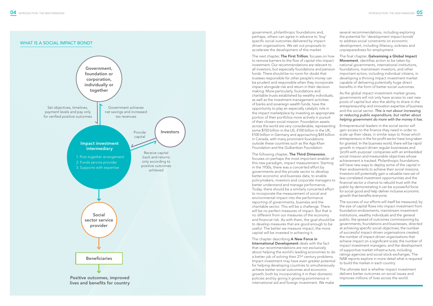government, philanthropic foundations and, perhaps, others can agree in advance to 'buy' specific social outcomes delivered by impactdriven organisations. We set out proposals to accelerate the development of this market.

The next chapter, The First Trillion, focuses on how to remove barriers to the flow of capital into impact investment. Our recommendations are relevant to all investors, but especially foundations and pension funds. There should be no room for doubt that trustees responsible for other people's money can be prudent and responsible when they incorporate impact alongside risk and return in their decision making. More particularly, foundations and charitable trusts established by wealthy individuals, as well as the investment management activities of banks and sovereign wealth funds, have the opportunity to play an especially catalytic role in the impact marketplace by investing an appropriate portion of their portfolios more actively in pursuit of their chosen social mission. Foundation assets across the world are very considerable, representing some \$150 billion in the US, £100 billion in the UK, €100 billion in Germany and approaching \$44 billion in Canada, with many prominent foundations outside these countries such as the *Aga Khan Foundation* and the *Gulbenkian Foundation.*

The chapter describing A New Force in International Development deals with the fact that our recommendations are not exclusively about helping the world's leading economies to do a better job of solving their 21st century problems. Impact investment may have even greater potential for helping developing countries to simultaneously achieve better social outcomes and economic growth, both by incorporating it in their domestic policies and by giving it growing prominence in international aid and foreign investment. We make

The following chapter, The Third Dimension, focuses on perhaps the most important enabler of this new paradigm, impact measurement. Starting in the 1930s, there was a concerted effort by governments and the private sector to develop better economic and business data, to enable policymakers, investors and corporate managers to better understand and manage performance. Today, there should be a similarly concerted effort to incorporate the measurement of social and environmental impact into the performance reporting of governments, business and the charitable sector. This will be a challenge. There will be no perfect measures of impact. But that is no different from our measures of the economy and financial risk. As with them, the goal should be to develop measures that are good enough to be useful. The better we measure impact, the more capital will be invested in achieving it.



several recommendations, including exploring the potential for 'development impact bonds' to address social constraints on economic development, including illiteracy, sickness and unpreparedness for employment.

The final chapter, Galvanising a Global Impact Movement, identifies action to be taken by national governments, international institutions, foundations, mainstream investors, and other important actors, including individual citizens, in developing a thriving impact investment market capable of delivering potentially huge direct benefits in the form of better social outcomes.

As the global impact investment market grows, governments will not only have access to vast new pools of capital but also the ability to share in the entrepreneurship and innovation expertise of business and the social sector. *This is not about increasing or reducing public expenditure, but rather about helping government do more with the money it has.*

Entrepreneurial leaders in the social sector will gain access to the finance they need in order to scale up their ideas, in similar ways to those which entrepreneurs in the for-profit sector have long taken for granted. In the business world, there will be rapid growth in impact-driven regular businesses and 'profit-with-purpose' companies with an embedded social mission and measurable objectives whose achievement is tracked. Philanthropic foundations will have new ways to deploy some of the capital in their endowments to achieve their social missions. Investors will potentially gain a valuable new set of less correlated investment opportunities and the financial sector a chance to rebuild trust with the public by demonstrating it can be a powerful force for social good and help deliver inclusive economic growth that benefits everyone.

The success of our efforts will itself be measured, by the size of capital flows into impact investment from foundation endowments, mainstream investment institutions, wealthy individuals and the general public; the spread of outcomes commissioning by governments, foundations and businesses, directed at achieving specific social objectives; the number of successful impact-driven organisations created; the number of impact-driven organisations that achieve impact on a significant scale; the number of impact investment managers; and the development of supportive market infrastructure, including ratings agencies and social stock exchanges. The NAB reports explore in more detail what is required to build the market in each country.

The ultimate test is whether impact investment delivers better outcomes on social issues and improves millions of lives across the world.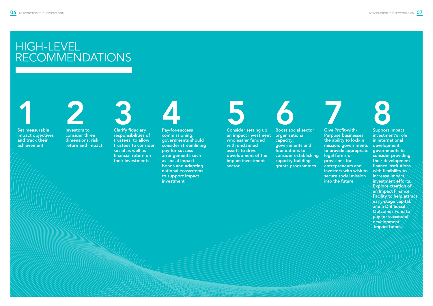# HIGH-LEVEL RECOMMENDATIONS





an impact investment wholesaler funded with unclaimed assets to drive development of the impact investment sector



consider three dimensions: risk, return and impact



organisational capacity: governments and foundations to consider establishing capacity-building grants programmes

 $\ket{3500000}$ 





**8**<br>Support impact investment's role in international development: governments to consider providing their development finance institutions with flexibility to increase impact investment efforts. Explore creation of an Impact Finance Facility to help attract early-stage capital, and a DIB Social Outcomes Fund to pay for successful development impact bonds.

commissioning: governments should consider streamlining pay-for-success arrangements such as social impact bonds and adapting national ecosystems to support impact investment



responsibilities of trustees: to allow trustees to consider social as well as financial return on their investments

7 Give Profit-with-Purpose businesses the ability to lock-in mission: governments to provide appropriate legal forms or provisions for entrepreneurs and investors who wish to secure social mission into the future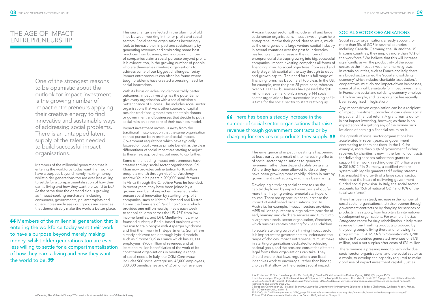A vibrant social sector will include small and large social sector organisations. Impact investing can help entrepreneurs take their good ideas to scale, much as the emergence of a large venture capital industry in several countries over the past four decades has led to a huge increase in the number of entrepreneurial start-ups growing into big, successful companies. Impact investing comprises all forms of financing linked to social objectives, from seed and early stage risk capital all the way through to debt and growth capital. The need for this full range of financing forms has become all too clear. In the US, for example, over the past 25 years or so, whereas over 50,000 new businesses have passed the \$50 million revenue mark, only a meagre 144 social sector organiations have succeeded in doing so.<sup>7</sup> It is time for the social sector to start catching up. SOCIAL SECTOR ORGANISATIONS Social sector organisations already account for more than 5% of GDP in several countries, including Canada, Germany, the UK and the US. In some countries, they employ more than 10% of the workforce.8 We believe that this will increase significantly, as will the productivity of the social sector, as the impact investment market grows. In certain countries, such as France and Italy, there is a broad sector called the 'social and solidarity economy' which includes charitable 'associations', cooperatives, mutuals and impact-driven businesses, some of which will be suitable for impact investment. In France this social and solidarity economy employs 2.3 million people, and its importance has recently been recognised in legislation.<sup>9</sup>

**66** There has been a steady increase in the number of social sector organisations that raise revenue through government contracts or by charging for services or products they supply. 99

> more than helping entrepreneurial start-ups, of course. There are opportunities to increase the impact of established organisations, too. In Australia, for example, impact investors provided A\$95 million to purchase a large private provider of early learning and childcare services and turn it into a large scale social sector organisation, *Goodstart*, which runs 641 centres catering for 73,000 children.

The emergence of impact investing is happening at least partly as a result of the increasing efforts of social sector organisations to generate revenues, rather than depend solely on grants. Where they have been allowed to do so, they have been growing more rapidly, driven in part by government contracting, which has been rising. Developing a thriving social sector to use the capital deployed by impact investors is about far The growth of social sector organisations has accelerated in recent years, as government contracting to them has risen. In the UK, for example, more than 80% of government funding received by charities is now in the form of contracts for delivering services rather than grants to support their work, reaching over £11 billion a year in 2011/2012.10 In Germany, a codified welfare system with legally guaranteed funding streams has enabled the growth of a large social sector, which is at the heart of delivering government funded social provision. In Italy, the social sector accounts for 15% of national GDP and 10% of the total workforce.11

Any impact-driven organisation can be a recipient of impact investment, provided it can deliver social impact and financial return. A grant from a donor is not impact investing, however, as there is no expectation of a getting any of the money back, let alone of earning a financial return on it.

To accelerate the growth of a thriving impact sector, it is important for governments to understand the range of choices impact entrepreneurs must make in starting organisations dedicated to achieving societal goals, and the pros and cons of the different legal forms their organisations can take. They should ensure that laws, regulations and fiscal incentives work to encourage, rather than hinder, choices that allow for the greatest social impact. programme. In 2012, *Oxfam International's* 1,200 stores in 9 countries generated revenues of €178 million, and a net surplus after costs of €31 million. There remains a pressing need to help individual social sector organisations, and the social sector as a whole, to develop the capacity required to make good use of impact investment capital. Just as

There has been a steady increase in the number of social sector organisations that raise revenue through government contracts or by charging for services or products they supply, from hospitals to international development organisations. For example the *San Patrignano* centre for drug rehabilitation in Italy raises revenue through selling products produced by the young people living there and following its

One of the strongest reasons to be optimistic about the outlook for impact investment is the growing number of impact entrepreneurs applying their creative energy to find innovative and sustainable ways of addressing social problems. There is an untapped latent supply of the talent needed to build successful impact organisations.

Members of the millennial generation that is entering the workforce today want their work to have a purpose beyond merely making money, whilst older generations too are ever less willing to settle for a compartmentalisation of how they earn a living and how they want the world to be.<sup>6</sup> At the same time the demand side is growing as 'impact-seeking purchasers' including consumers, governments, philanthropists and others increasingly seek out goods and services that demonstrably make the world a better place.

66 Members of the millennial generation that is entering the workforce today want their work to have a purpose beyond merely making money, whilst older generations too are ever less willing to settle for a compartmentalisation of how they earn a living and how they want the world to be. **99** 

This sea change is reflected in the blurring of old lines between working in the for-profit and social sectors. Social sector organisations increasingly look to increase their impact and sustainability by generating revenues and embracing some best practices from business, and a growing number of companies claim a social purpose beyond profit. It is evident, too, in the growing number of people who are themselves creating organisations to address some of our biggest challenges. Today, impact entrepreneurs can often be found where tough problems have created a pressing need for social innovations.

With its focus on achieving demonstrably better outcomes, impact investing has the potential to give every organisation with a social mission a better chance of success. This includes social sector organisations that want other sources of capital besides traditional grants from charitable donors or government and businesses that decide to put a social mission at the core of their business model.

Impact investment moves us away from the traditional misconception that the same organisation cannot pursue both profit and social impact. Government regulations which have typically focused on public versus private benefit as the clear differentiator of social impact are starting to adjust to these new approaches, but need to go further.

Some of the leading impact entrepreneurs have created thriving social sector organisations. Sal Khan now provides online tuition to 10 million people a month through his *Khan Academy*. Andrew Youn helps train 200,000 small farmers in Africa through the *One Acre Fund* he founded. In recent years, they have been joined by a growing number of impact entrepreneurs who pursue social innovation by starting for-profit companies, such as Kristin Richmond and Kirsten Tobey, the founders of *Revolution Foods*, which provides one million healthy meals each week to school children across the US, 75% from lowincome families, and Dirk Mueller-Remus, who founded *auticon*, a Berlin-based business with a mission to train people with Asperger syndrome and find them work in IT departments. Some have already achieved scale through hybrid models, such as *Groupe SOS* in France which has 11,000 employees, €900 million of revenues and at least one million beneficiaries of the work of its constituent organisations in meeting a range of social needs. In Italy, the *CGM Consortium* includes 900 social enterprises, 42,000 employees, 800,000 beneficiaries and €1.2 billion of revenues.

# THE AGE OF IMPACT ENTREPRENEURSHIP





8 See, for example, Roeger, K, Blackwood, A and Pettijohn, S, 'The Nonprofit Almanac', The Urban Institute (2012) page 35; and Statistics Canada, Satellite Account of Nonprofit Institutions and Volunteering, 2009. Available at: www.sectorsource.ca/resource/file/satellite-account-nonprofit-

9 European Commission (2012) Social Economy: Laying the Groundwork for Innovative Solutions to Today's Challenges, Synthesis Report, France,

10 NCVO, UK Civil Society Almanac (2014), page 29. Available at: www.data.ncvo.org.uk/a/almanac14/how-has-the-funding-mix-changed/

<sup>7</sup> W. Foster and G.Fine, 'How Nonprofits Get Really Big', Stanford Social Innovation Review, (Spring 2007) 5(2), pages 46-55 institutions-and-volunteering-2007

<sup>10-11</sup> December 2012, page 16.

<sup>11</sup> Istat 2014, Censimento dell'Industria e dei Servizi 2011, Istituzioni Non profit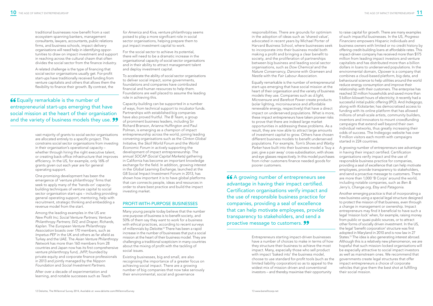traditional businesses now benefit from a vast ecosystem spanning bankers, management consultants, lawyers, accountants, public relations firms, and business schools, impact delivery organisations will need help in identifying opportunities to draw on impact investment and support in reaching across the cultural chasm that often divides the social sector from the finance industry.

A related challenge is the type of financing that social sector organisations usually get. For-profit start-ups have traditionally received funding from venture capitalists and others that allows them the flexibility to finance their growth. By contrast, the

66 Equally remarkable is the number of entrepreneurial start-ups emerging that have social mission at the heart of their organisation and the variety of business models they use. 99

> vast majority of grants to social sector organisations are allocated entirely to a specific project. This constrains social sector organisations from investing in their organisation's operational capacity – whether through hiring the right executive talent, or creating back-office infrastructure that improves efficiency. In the US, for example, only 16% of grants given out each year are for general operating support.

One promising development has been the emergence of 'venture philanthropy' firms that seek to apply many of the 'hands-on' capacitybuilding techniques of venture capital to social sector organisation start-ups – including providing general operating support, mentoring, help with recruitment, strategic thinking and embedding a revenue model from the start.

Among the leading examples in the US are: *New Profit Inc; Social Venture Partners; Venture Philanthropy Partners; SV2;* and *Draper, Richards, Kaplan.* The *European Venture Philanthropy Association* boasts over 170 members, such as *Impetus-PEF* in the UK and others as far afield as Turkey and the UAE. The *Asian Venture Philanthropy Network* has more than 160 members from 28 countries and Japan now has its first comprehensive venture philanthropy fund, *JVFP*, founded by private equity and corporate finance professionals in 2013 and jointly managed by the *Nippon Foundation* and *Social Investment Partners*.

After over a decade of experimentation and learning, and notable successes such as *Teach*  *for America* and *Kiva*, venture philanthropy seems poised to play a more significant role in social sector organisations, helping prepare them to put impact investment capital to work.

For the social sector to achieve its potential, there will need to be a dramatic increase in the organisational capacity of social sector organisations and in their ability to attract management talent and deploy investment capital.

To accelerate the ability of social sector organisations to deliver social impact, some governments, foundations and companies have contributed financial and human resources to help them. Foundations are well placed to assume the leading role in achieving this.

Capacity-building can be supported in a number of ways, from technical support to incubator funds. Partnerships with established big companies have also proved fruitful. *The B Team*, a group of prominent business leaders, including Sir Richard Branson, Arianna Huffington and Paul Polman, is emerging as a champion of impact entrepreneurship across the world, joining leading convening organisations such as the *Clinton Global Initiative*, the *Skoll World Forum* and the *World Economic Forum* in actively supporting the development of impact entrepreneurship. The annual *SOCAP (Social Capital Markets)* gathering in California has become an important knowledge exchange for the field. In addition, growing interest in the *Global Learning Exchange*, launched at the G8 Social Impact Investment Forum in 2013, has shown how important it is to have global platforms that can connects people, ideas and resources in order to share best practice and build the impact investing market.

# PROFIT-WITH-PURPOSE BUSINESSES

Many young people today believe that the number one purpose of business is to benefit society, and 50% of them say they want to work for a business with ethical practices, according to recent surveys of millennials by *Deloitte*. 12 There has been a rapid increase in the number of businesses that put a social mission at the heart of their business model. They are challenging a traditional scepticism in many countries about the mixing of profit with the tackling of social issues.

Existing businesses, big and small, are also recognising the importance of a greater focus on achieving social impact. There are a growing number of big companies that now take seriously their environmental, social and governance

responsibilities. There are grounds for optimism in the adoption of ideas such as 'shared value', advocated in recent years by Michael Porter of Harvard Business School, where businesses seek to incorporate into their business model both making a profit and bringing a clear benefit to society, and the proliferation of partnerships between big business and leading social sector organisations, such as *Dow Chemical* and the *Nature Conservancy, Danone* with *Grameen* and *Nestle* with the *Fair Labour Association.*

Equally remarkable is the number of entrepreneurial start-ups emerging that have social mission at the heart of their organisation and the variety of business models they use. Companies such as *d.light, Microensure* and *Barefoot Power* create products (solar lighting, microinsurance and affordable renewable energy, respectively) that have a direct impact on underserved populations. What is more, these impact entrepreneurs have taken pioneer risks to prove that there are indeed large market opportunities in addressing these problems. As a result, they are now able to attract large amounts of investment capital to grow. Others have chosen different business models to benefit underserved populations. For example, *Tom's Shoes* and *Warby Parker* have built into their business model a 'buy a pair, give a pair away' cross-subsidisation, with shoes and eye glasses respectively. In this model purchases from richer customers finance needed goods for poorer customers.

66 A growing number of entrepreneurs see advantage in having their impact certified. Certification organisations verify impact and the use of responsible business practice for companies, providing a seal of excellence that can help motivate employees, provide transparency to stakeholders, and send a proactive message to customers. 99

> Entrepreneurs starting impact-driven businesses have a number of choices to make in terms of how they structure their business to achieve the most impact. Many, especially those who sell product with impact 'baked into' the business model, choose to use standard for-profit tools (such as the limited liability corporation) so as to appeal to the widest mix of mission driven and conventional investors – and thereby maximise their opportunity

to raise capital for growth. There are many examples of such impactful businesses. In the US, *Progreso Financiero* empowers Hispanic individuals and business owners with limited or no credit history by offering credit-building loans at affordable rates. This impact-driven company has received more than \$175 million from leading impact investors and venture capitalists and has distributed more than a billion dollars in loans to underserved populations. In the environmental domain, *Opower* is a company that combines a cloud-based platform, big data, and behavioural science to help utilities around the world reduce energy consumption and improve their relationship with their customers. The enterprise has reached 32 million households and saved more than 5 billion kilowatt hours of electricity; it recently had a successful initial public offering (IPO). And *Indiegogo*, along with *Kickstarter*, has democratised access to funding with its online platform that has allowed millions of small-scale artists, community builders, inventors and innovators to mount crowdfunding campaigns that extend well beyond their own individual networks, thus greatly increasing their odds of success. The Indiegogo website has over 9 million visitors each month with campaigns started in 224 countries.

A growing number of entrepreneurs see advantage in having their impact certified. Certification organisations verify impact and the use of responsible business practice for companies, providing a seal of excellence that can help motivate employees, provide transparency to stakeholders, and send a proactive message to customers. There are more than 1,000 'B Corps' around the world, including notable companies, such as *Ben & Jerry's, Change.org, Etsy* and *Patagonia*.

Another emerging practice is that of incorporating a new business using a special legal structure designed to protect the mission of that business, even through a change in management or ownership. Impact entrepreneurs may find it beneficial to have such a legal 'mission lock' when, for example, raising money from public or quasi-public sources, or to attract other forms of socially driven investment. In the US, the legal 'benefit corporation' structure was first adopted in Maryland in 2010 and is now law in 27 States.<sup>13</sup> The idea is also generating interest abroad. Although this is a relatively new phenomenon, we are hopeful that such mission-locked organisations will be especially attractive to social impact investors as well as mainstream ones. We recommend that governments create legal structures that offer impact entrepreneurs a choice of corporate vehicles that give them the best shot at fulfilling their social mission.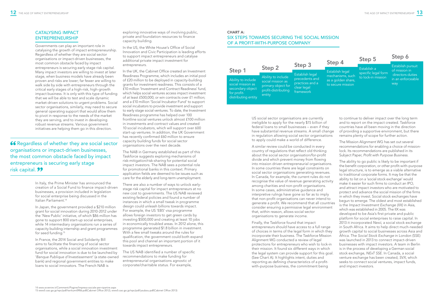A similar review could be conducted in every country of regulations that reflect old thinking about the social sector organisation/for-profit divide and which prevent money from flowing into mission driven entrepreneurial organisations. In some countries there are legal constraints on social sector organisations generating revenues. In Canada, for example, the current rules do not recognise the value of revenue generating activity among charities and non-profit organisations. In some cases, administrative guidance and interpretive rulings have gone so far as to imply that non-profit organisations can never intend to generate a profit. We recommend that all countries consider ensuring a permissive legal environment that, within reason, allows social sector organisations to generate income.

US social sector organisations are currently ineligible to apply for the nearly \$15 billion of federal loans to small businesses – even if they have substantial revenue streams. A small change in regulation allowing social sector organisations to apply could make a world of difference. to continue to deliver impact over the long term and to report on the impact created. Taskforce countries have all been moving in the direction of providing a supportive environment, but there remains plenty of scope for further action.

Finally, the Taskforce found that impact entrepreneurs should have access to a full range of choices in terms of the legal form in which they incorporate their business. The Taskforce Mission Alignment WG conducted a review of legal protections for entrepreneurs who wish to lock-in their mission. It found six different ways in which the legal system can provide support for this goal. (See Chart A). It highlights intent, duties and reporting as defining characteristics of a profitwith-purpose business, the commitment being

The Mission Alignment WG has set out several recommendations for enabling a choice of missionlock. Its recommendations are published in its Subject Paper, *Profit with Purpose Business.*

The ability to go public is likely to be important if the benefit corporation, or other profit-with-purpose legal structure, is to emerge as a viable alternative to traditional corporate forms. It may be that the ability to list on a 'social stock exchange' would make it easier for such firms to conduct an IPO, and attract impact investors who are motivated to protect and advance the social mission of the firms in which they invest. Social stock exchanges have begun to emerge. The oldest and most established is the *Impact Investment Exchange (IIX)* in Asia, which was established in 2005. The IIX was developed to be Asia's first private and public platform for social enterprises to raise capital. In 2013 it incorporated *Nexii*, a social stock exchange in South Africa. It aims to help direct much-needed growth capital to social businesses across Asia and Africa. The *Social Stock Exchange* in London (SSE) was launched in 2013 to connect impact-driven businesses with impact investors. A team in Berlin is in the process of developing a German social stock exchange, *NExT SSE*. In Canada, a social venture exchange has been created, *SVX*, which seeks to connect social ventures, impact funds, and impact investors.

# CATALYSING IMPACT ENTREPRENEURSHIP

Governments can play an important role in catalysing the growth of impact entrepreneurship. Regardless of whether they are social sector organisations or impact-driven businesses, the most common obstacle faced by impact entrepreneurs is securing early stage risk capital. Many impact investors are willing to invest at later stage, when business models have already been proven and risks are lower; far fewer are willing to walk side by side with entrepreneurs through the critical early stages of a high-risk, high-growth impact business. It is only with this type of funding that we will be able to test and scale dynamic market-driven solutions to urgent problems. Social sector organisations, similarly, may need to secure general operating support that would allow them to pivot in response to the needs of the market they are serving, and to invest in developing robust revenue streams. Various government initiatives are helping them go in this direction.

66 Regardless of whether they are social sector organisations or impact-driven businesses, the most common obstacle faced by impact entrepreneurs is securing early stage risk capital. **99** 

> In Italy, the Prime Minister has announced the creation of a Social Fund to finance impact-driven businesses, a provision included in legislation for social enterprise being discussed in the Italian Parliament.14

> In Japan, the government provided a \$210 million grant for social innovation during 2010-2012 under the 'New Public' initiative, of which \$86 million has gone to support 800 start-up social enterprises, while 14 intermediary organisations run a series of capacity building internship and grant programmes for seed funding.15

In France, the 2014 Social and Solidarity Bill aims to facilitate the financing of social sector organisations, while a social innovation investment fund for social innovation is due to be launched by '*Banque Publique d'Investissement*' (a state-owned bank) and regional government entities to make loans to social innovators. The French NAB is

exploring innovative ways of involving public, private and foundation resources to finance capacity building.

In the US, the White House's Office of Social Innovation and Civic Participation is leading efforts to support impact entrepreneurs and catalyse additional private impact investment for entrepreneurs.

In the UK, the Cabinet Office created an Investment Readiness Programme, which includes an initial pool of £20 million to be deployed in capacity-building grants for investment readiness. This consists of a £10 million 'Investment and Contract Readiness' fund, which helps social ventures access impact investment of at least £500,000, or win contracts over £1 million; and a £10 million 'Social Incubator Fund' to support social incubators to provide investment and support to early stage social ventures. To date, the Investment Readiness programme has helped over 100 frontline social ventures unlock almost £100 million in investments and contract values and created 10 social incubators, which will support over 600 start-up ventures. In addition, the UK Government has recently confirmed £60 million to ensure capacity building funds for social sector organisations over the next decade.

The NAB in Germany established as part of this Taskforce suggests exploring mechanisms of risk-mitigation/risk-sharing for potential social impact investors. The NAB sees a potential role for promotional banks in this context. Primary application fields are deemed to be issues such as care for the elderly and long-term unemployment.

There are also a number of ways to unlock earlystage risk capital for impact entrepreneurs at no new cost to governments. The US NAB reviewed existing federal policies and found a number of instances in which a small tweak in programme design could unleash billions towards impact. For example, the US 'EB5' visa programme allows foreign investors to get green cards by investing \$500,000 and creating at least 10 jobs in economically troubled areas. In 2012 alone, this programme generated \$1.8 billion in investment. With a few small tweaks around the rules for qualification, the government could both expand this pool and channel an important portion of it towards impact entrepreneurs.

The US NAB identified a number of specific recommendations to make funding for entrepreneurial organisations agnostic of corporate/charitable status. For example,

# CHART A: SIX STEPS TOWARDS SECURING THE SOCIAL MISSION OF A PROFIT-WITH-PURPOSE COMPANY

|                                                                                                             | Step 2                                                                                         | Step 3                                                                                  |        |
|-------------------------------------------------------------------------------------------------------------|------------------------------------------------------------------------------------------------|-----------------------------------------------------------------------------------------|--------|
| Step 1<br>Ability to include<br>social mission as<br>secondary object<br>for profit-<br>distributing entity | Ability to include<br>social mission as<br>primary object for<br>profit-distributing<br>entity | <b>Establish legal</b><br>precedents and<br>practices and a<br>clear legal<br>framework | á<br>ť |

# Step 4

stablish legal echanisms, such  $\overline{\mathsf{s}}$  a golden share, to secure mission

# Step 5

Establish a specific legal form to lock-in mission

# Step 6

Establish pursuit of mission in directors duties in an enforceable way

<sup>15</sup> www5.cao.go.jp/npc/pdf/torikumi0906.pdf(Cabinet Office 2012); www5.cao.go.jp/npc/pdf/youbou.pdf(Cabinet Office 2013)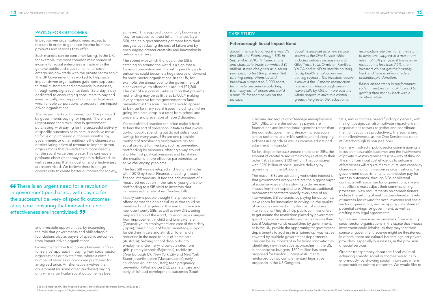# PAYING FOR OUTCOMES

Impact-driven organisations need access to markets in order to generate income from the products and services they offer.

Such markets can be consumer facing. In the UK, for example, the most common main source of income for social enterprises is trade with the general public and close to half of all social enterprises now trade with the private sector too.<sup>16</sup> The UK Government has worked to help such impact-driven organisations gain more exposure to retail customers and commercial businesses, through campaigns such as Social Saturday (a day dedicated to encouraging consumers to buy and invest socially) and supporting online databases which enable corporations to procure from impactdriven organisations.

The largest markets, however, could be provided by governments paying for impact. There is an urgent need for a revolution in government purchasing, with paying for the successful delivery of specific outcomes at its core. A decisive move to focus on purchasing outcomes (whether by governments or other entities) is the clearest way of stimulating a flow of revenue to impact-driven organisations that rewards them more directly for the social value they create. This can have a profound effect on the way impact is delivered, as well as ensuring that innovation and effectiveness are incentivised. We believe there is a huge opportunity to create better outcomes for society,

66 There is an urgent need for a revolution in government purchasing, with paying for the successful delivery of specific outcomes at its core...ensuring that innovation and effectiveness are incentivised. 99

> and investible opportunities, by expanding the role that governments and philanthropic foundations play as buyers of specific outcomes from impact-driven organisations.

Governments have traditionally favoured a 'feefor-service' approach in buying from social sector organisations or private firms, where a certain number of services or goods are purchased for an agreed price. An alternative involves the government (or some other purchaser) paying only when a particular social outcome has been

achieved. This approach, commonly known as a 'pay-for-success' contract (often financed by a SIB), can help governments get more from their budgets by reducing the cost of failure and by encouraging greater creativity and innovation in outcome delivery.

> Carolina); and reduction of teenage unemployment (UK). DIBs, where the outcomes payers are foundations and international agencies rather than the domestic government, already in preparation aim to tackle malaria in Mozambique and sleeping sickness in Uganda as well as improve educational attainment in Rwanda.<sup>18</sup>

The speed with which the idea of the SIB is catching on around the world is a sign that a focus on prevention and the willingness to pay for outcomes could become a huge source of demand for social sector organisations. In the UK, for example, the annual cost to the government of a convicted youth offender is around £21,268. The cost of a successful intervention that prevents reoffending may be as little as £7,000,17 making it very attractive for the government to fund prevention in this area. The same would appear to be true for many social issues including children going into care, drop-out rates from school and university and prevention of Type 2 diabetes.

Yet established practice can often make it hard to fund the sort of prevention initiatives that involve up-front public spending but do not deliver cost savings for many years. SIBs are one possible method of transferring performance risk for social projects to investors, such as preventing reoffending by prisoners, offering a way around short-termist political pressures and facilitating the creation of more effective partnerships to solve challenging problems.

The first SIB was developed and launched in the UK in 2010 by Social Finance, a leading impact finance intermediary. It tied the achievement of a measured reduction in the rate of young prisoner reoffending to a SIB yield to investors that increases as the rate of reoffending falls.

Initially, some people thought that prisoner reoffending was the only social issue that could be measured and targeted in this way. But there are now over twenty SIBs, as well as new DIBs, being prepared around the world, covering issues ranging from improvement in child and family welfare (Canada); youth employment and care of the elderly (Japan); transition out of foster parentage, support for children in care and at-risk children and a reduction in the need for out-of-home care (Australia); helping school drop outs into employment (Germany); drop-outs rates from girls' primary schools (Rajasthan); recidivism (Peterborough UK, New York City and New York State); juvenile justice (Massachusetts); early childhood education (Utah); teen pregnancy prevention (Washington DC); prenatal care and early childhood development outcomes (South

So far, despite the buzz around the idea of SIBs, the amount of capital raised remains tiny relative to their potential, at around \$100 million. That compares with £250 billion of social service delivery by government in the UK alone.

SIBs, and outcomes-based funding in general, with the right design, can also motivate impact-driven organisations to work together and coordinate their joint activities productively, thereby raising their effectiveness, as the One Service has done at Peterborough Prison (see box).

The reason SIBs are attracting worldwide interest is that governments everywhere are the biggest buyer of social services and are striving to deliver maximum impact from their expenditure. Whereas traditional procurement contracts specify every step of an intervention, SIB contracts, by paying for outcomes, leave room for innovation in driving up the quality of outcomes and reducing the cost of successful interventions. They also help public commissioners to get around the restrictions placed by government spending silos on new initiatives that cut across them. Social Outcome Funds established by government, as in the UK, provide the opportunity for government departments to address in a 'joined up' way issues covered by multiple government departments. This can be as important in fostering innovation as identifying new innovative approaches. In the US, in consecutive budgets, \$300 million has been proposed for Pay-for-Success instruments, reinforced by two complementary legislative proposals in the US Congress. success outcomes, through SIBs or bilateral contracts with social sector organisations, means that officials must adjust their commissioning processes. New requirements on commissioners include the setting of metrics, benchmarks, levels of success-led reward for both investors and social sector organisations, and an appropriate share of potential savings for government, as well as drafting new legal agreements. Sometimes there may be pushback from existing social sector organisations in the space that impact investment could inhabit, as they may fear their source of government revenue might be threatened. In others, there are cultural barriers against private providers, especially businesses, in the provision of social services. Greater transparency about the fiscal value of achieving specific social outcomes would help enormously, by showing social innovators where opportunities exist to do better. We would like to

For many involved in public sector commissioning, a focus on measurable outcomes and the involvement of private investors represents a new way of thinking. The shift from input cost efficiency to outcome effectiveness will require many cultural and capability changes within commissioning organisations. For government departments to commission pay-for-

# Peterborough Social Impact Bond

Social Finance *launched the world's first SIB, the Peterborough SIB, in September 2010. 17 foundations and charitable trusts committed £5 million. It was designed as a seven year pilot, to test the premise that offering comprehensive and individual support to 3,000 shortterm male prisoners would help them stay out of prison and build a new life for themselves on the outside.*

*Social Finance set up a new service, known as the One Service, which included delivery organisations St*  Giles Trust, Sova, Ormiston Families, YMCA *and* MIND *to provide housing, family, health, employment and training support. The investors receive a return if the 12 month reconviction rate among Peterborough prison leavers falls by 7.5% or more over the whole project, relative to a control group. The greater the reduction in* 

*reconviction rate the higher the return to investors, capped at a maximum return of 13% per year. If the relative reduction is less than 7.5%, then investors do not get their money back and have in effect made a philanthropic donation.*

*Based on the trend in performance so far, investors can look forward to getting their money back with a positive return.*

# CASE STUDY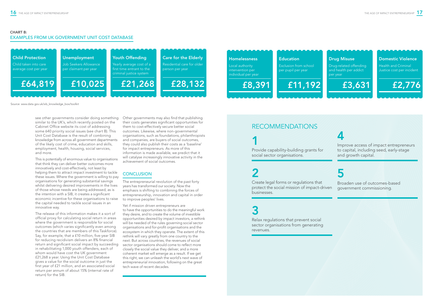see other governments consider doing something similar to the UK's, which recently posted on the Cabinet Office website its cost of addressing some 640 priority social issues (see chart B). This Unit Cost Database is the result of combining knowledge from across all government departments of the likely cost of crime, education and skills, employment, health, housing, social services, and more.

This is potentially of enormous value to organisations that think they can deliver better outcomes more innovatively and cost-effectively, not least by helping them to attract impact investment to tackle these issues. Where the government is willing to pay organisations for generating substantial savings whilst delivering desired improvements in the lives of those whose needs are being addressed, as is the intention with a SIB, it creates a significant economic incentive for these organisations to raise the capital needed to tackle social issues in an innovative way.

The release of this information makes it a sort of official proxy for calculating social return in areas where the government is responsible for social outcomes (which varies significantly even among the countries that are members of this Taskforce). Say, for example, that a £10 million, five-year SIB for reducing recidivism delivers an 8% financial return and significant social impact by succeeding in rehabilitating 1,000 youth offenders, each of whom would have cost the UK government £21,268 a year. Using the Unit Cost Database gives a value for the social outcome in just the first year of £21 million, and an associated social return per annum of about 15% (internal rate of return) for the SIB.

Other governments may also find that publishing their costs generates significant opportunities for them to cost-effectively secure better social outcomes. Likewise, where non-governmental organisations, such as foundations, philanthropists and companies, are buyers of social outcomes, they could also publish their costs as a 'baseline' for impact entrepreneurs. As more of this information is made available, we predict that it will catalyse increasingly innovative activity in the achievement of social outcomes.

# **CONCLUSION**

The entrepreneurial revolution of the past forty years has transformed our society. Now the emphasis is shifting to combining the forces of entrepreneurship, innovation and capital in order to improve peoples' lives.

Yet if mission driven entrepreneurs are to have the opportunities to do the meaningful work they desire, and to create the volume of investible opportunities desired by impact investors, a rethink will be needed of the rules governing social sector organisations and for-profit organisations and the ecosystem in which they operate. The extent of this rethink will vary greatly from one country to the next. But across countries, the revenues of social sector organisations should come to reflect more closely the social value they deliver, and a more coherent market will emerge as a result. If we get this right, we can unleash the world's next wave of entrepreneurial innovation, following on the great tech wave of recent decades.

# CHART B:

# EXAMPLES FROM UK GOVERNMENT UNIT COST DATABASE

Source: www.data.gov.uk/sib\_knowledge\_box/toolkit





Drug-related offending and health per addict per year

£3,631

Domestic Violence

Health and Criminal Justice cost per incident



# RECOMMENDATIONS

1 Provide capability-building grants for social sector organisations.

# 2

Create legal forms or regulations that protect the social mission of impact-driven businesses.

# 3

Relax regulations that prevent social sector organisations from generating revenues.

4

Improve access of impact entrepreneurs to capital, including seed, early-stage and growth capital.



Broaden use of outcomes-based government commissioning.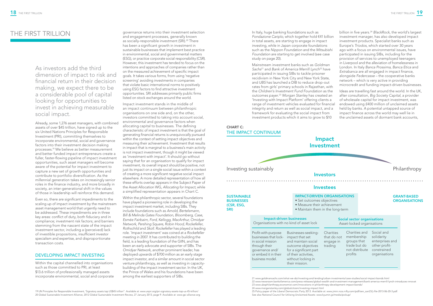As investors add the third dimension of impact to risk and financial return in their decision making, we expect there to be a considerable pool of capital looking for opportunities to invest in achieving measurable social impact.

Already, some 1,276 asset managers, with combined assets of over \$45 trillion, have signed up to the six United Nations Principles for Responsible Investment (PRI), committing themselves to incorporate environmental, social and governance factors into their investment decision making processes.19 We believe as better measurement and better funded impact entrepreneurs create a fuller, faster-flowing pipeline of impact investment opportunities, such asset managers will become aware of the potential for impact investment to capture a new set of growth opportunities and contribute to portfolio diversification. As the millennial generation takes on increasingly senior roles in the finance industry, and more broadly in society, an inter-generational shift in the values of those in leadership will reinforce this demand.

Even so, there are significant impediments to the scaling up of impact investment by the mainstream asset management world that urgently need to be addressed. These impediments are in three key areas: conflict of duty, both fiduciary and in compliance; investment risk factors; and barriers stemming from the nascent state of the impact investment sector, including a (perceived) lack of investible propositions, insufficient investor specialism and expertise, and disproportionate transaction costs.

# DEVELOPING IMPACT INVESTING

Within the capital channelled into organisations such as those committed to PRI, at least \$13.6 trillion of professionally managed assets incorporate environmental, social and corporate governance returns into their investment selection and engagement processes, generally known as socially-responsible investment (SRI).<sup>20</sup> There has been a significant growth in investment in sustainable businesses that implement best practice in environmental, social and governmental matters (ESG), or practice corporate social responsibility (CSR). However, this investment has tended to focus on the intentions and approaches of companies rather than on the measured achievement of specific impact goals. It takes various forms, from using 'negative screening' avoiding investments in companies that violate basic international norms to positively using ESG factors to find attractive investment opportunities. SRI addresses primarily public firms listed on stock exchanges around the world.

Impact investment stands in the middle of an impact continuum between philanthropic organisations on one side and, on the other, investors committed to taking into account social, environmental and governance factors when allocating capital to businesses. The defining characteristic of impact investment is that the goal of generating financial returns is unequivocally pursued within the context of setting impact objectives and measuring their achievement. Investment that results in impact that is marginal to a business's main activity is not impact investment, though it might be viewed as 'investment with impact'. It should go without saying that for an organisation to qualify for impact investment, its overall impact should be positive, not just its impact on a single social issue within a context of creating a more significant negative social impact elsewhere. A more detailed representation of how all these efforts overlap appears in the Subject Paper of the Asset Allocation WG, *Allocating for Impact*, while a simplified representation appears in Chart C.

Within the philanthropic sector, several foundations have played a pioneering role in developing the impact investment market, including SIBs. They include foundations such as *Arnold, Bertelsmann, Bill & Melinda Gates Foundation, Bloomberg, Case, Esmée Fairbairn, Ford, Kellogg, MacArthur, Omidyar Network, Pershing Square, Robin Hood, Rockefeller, Rothschild* and *Skoll*. *Rockefeller* has played a leading role. `Impact investment' was coined at a *Rockefeller* meeting in 2007. It has contributed to building the field, is a leading foundation of the GIIN, and has been an early advocate and supporter of SIBs. The *Omidyar Network*, another prominent leader, has deployed upwards of \$700 million as an early stage impact investor, and a similar amount in social sector venture philanthropy, as well as investing in capacitybuilding of the impact investment sector. In the UK, the Prince of Wales and his foundations have been among the earliest supporters of SIBs.

# THE FIRST TRILLION

# CHART C: THE IMPACT CONTINUUM

In Italy, huge banking foundations such as *Fondazione Cariplo*, which together hold €41 billion in total assets, are starting to engage in impact investing, while in Japan corporate foundations such as the *Nippon Foundation* and the *Mitsubishi Foundation* are starting to get involved (see case study on page 20).

Mainstream investment banks such as *Goldman Sachs*21 and *Bank of America Merrill Lynch*22 have participated in issuing SIBs to tackle prisoner recidivism in New York City and New York State, and *UBS* has launched a DIB to reduce drop-out rates from girls' primary schools in Rajasthan, with the *Children's Investment Fund Foundation* as the outcomes payer.23 *Morgan Stanley* has created an 'Investing with Impact Platform' offering clients a range of investment vehicles evaluated for financial integrity and return as well as social impact, and a framework for evaluating the social impact from investment products which it aims to grow to \$10 London. In Italy *Banca Prossima, Banca Etica* and *Extrabanca* are all engaged in impact finance, alongside *Federcasse* – the cooperative banks network – which is very active in providing microcredit and funding impact-driven businesses. Ideas are travelling fast around the world. In the UK, after consultation, *Big Society Capital*, a provider of wholesale capital for impact investment, was endowed using £400 million of unclaimed assets held by banks. A potential untapped source of impact finance across the world may well lie in the unclaimed assets of dormant bank accounts,

billion in five years.24 *BlackRock*, the world's largest investment manager, has also developed impact investment products. Specialist banks such as Europe's *Triodos*, which started over 30 years ago with a focus on environmental issues, have participated in issuing SIBs, including for the provision of services to unemployed teenagers in Liverpool and the alleviation of homelessness in

SRI)



19 UN Principles for Responsible Investment, 'Signatory assets top US\$45 trillion". Available at: www.unpri.org/pri-signatory-assets-top-us-45-trillion/ 20 Global Sustainable Investment Alliance, 2012 Global Sustainable Investment Review, 27 January 2013, page 9. Available at: www.gsi-alliance.org 21 www.goldmansachs.com/what-we-do/investing-and-lending/urban-investments/case-studies/social-impact-bonds.html 22 www.newsroom.bankofamerica.com/press-releases/global-wealth-and-investment-management/bank-america-merrill-lynch-introduces-innovat 23 www.ubsphilanthropy.economist.com/innovations-in-philanthropy-development-impact-bonds/ 24 www.morganstanley.com/globalcitizen/investing-impact.html 25 Policy paper of the Liberal Democratic Party 2013. Available at: www.jimin.ncss.nifty.com/pdf/sen\_san23/j-file-2013-06-20-3.pdf.

See also National Council for Utilising Unclaimed Assets: www.kyumin.jp/media/pickup/

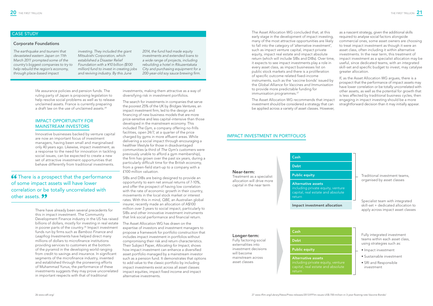life assurance policies and pension funds. The ruling party of Japan is proposing legislation to help resolve social problems as well as to release unclaimed assets. France is currently preparing a draft law on the use of unclaimed assets.<sup>24</sup>

# IMPACT OPPORTUNITY FOR MAINSTREAM INVESTORS

Innovative businesses backed by venture capital are now an important focus of investment managers, having been small and marginalised only 40 years ago. Likewise, impact investment, as a response to the need for innovation in tackling social issues, can be expected to create a new set of attractive investment opportunities that behave differently from traditional investments.

66 There is a prospect that the performance of some impact assets will have lower correlation or be totally uncorrelated with other assets. 99

> There have already been several precedents for this in impact investment. The Community Development Finance industry in the US has raised billions of dollars, mostly for investing in real estate in poorer parts of the country.26 Impact investment funds run by firms such as *Bamboo Finance* and *Leapfrog Investments* have helped direct many millions of dollars to microfinance institutions providing services to customers at the bottom of the pyramid in the developing world ranging from credit to savings and insurance. In significant segments of the microfinance industry, invented and established through the pioneering efforts of Muhammad Yunus, the performance of these investments suggests they may prove uncorrelated in important respects with that of traditional

investments, making them attractive as a way of diversifying risk in investment portfolios.

The Asset Allocation WG concluded that, at this early stage in the development of impact investing, many of the most attractive opportunities are likely to fall into the category of 'alternative investment', such as impact venture capital, impact private equity, impact real estate and impact absolute return (which will include SIBs and DIBs). Over time, it expects to see impact investments play a role in every asset class, as impact businesses list on public stock markets and there is a proliferation of specific outcome related fixed-income instruments, such as the 'vaccine bonds' issued by the *Global Alliance for Vaccines and Immunisation* to provide more predictable funding for immunisation programmes.<sup>27</sup>

The search for investments in companies that serve the poorest 25% of the UK by *Bridges Ventures*, an impact investment firm, led to the design and financing of new business models that are more price-sensitive and less capital-intensive than those developed in the mainstream economy. This included *The Gym*, a company offering no-frills facilities, open 24/7, at a quarter of the price charged by gyms in more affluent areas. While delivering a social impact through encouraging a healthier lifestyle for those in disadvantaged communities (a third of *The Gym's* customers were previously unable to afford a gym membership), the firm has grown over the past six years, during a particularly difficult time for the British economy, from a green-field start-up to a company with a £100 million valuation.

SIBs and DIBs are being designed to provide an opportunity to earn net annual returns of 7-10%, and offer the prospect of having low correlation with the rate of economic growth in their country, movements in the local stock market or interest rates. With this in mind, *QBE*, an Australian global insurer, recently made an allocation of A\$100 million over 3 years to social impact, particularly to SIBs and other innovative investment instruments that link social performance and financial return.

The Asset Allocation WG has drawn on the expertise of investors and investment managers to propose a framework for portfolio construction that includes impact investment in portfolios without compromising their risk and return characteristics. Their Subject Paper, *Allocating for Impact*, shows how impact investment can enhance a diversified asset portfolio managed by a mainstream investor such as a pension fund. It demonstrates that options to add value to the classic portfolio by including impact investments exist across all asset classes: impact equities, impact fixed income and impact alternative investments.

The Asset Allocation WG recommends that impact investment should be considered a strategy that can be applied across a variety of asset classes. However,

as a nascent strategy, given the additional skills required to analyse social factors alongside commercial ones, some asset owners are choosing to treat impact investment as though it were an asset class, often including it within alternative investments. In the near term, this treatment of impact investment as a specialist allocation may be useful, since dedicated teams, with an integrated skill-set and specific budget to invest, may catalyse greater allocation.

If, as the Asset Allocation WG argues, there is a prospect that the performance of impact assets may have lower correlation or be totally uncorrelated with other assets, as well as the potential for growth that is less affected by traditional business cycles, then engaging in impact investing should be a more straightforward decision than it may initially appear.

## Longer-term:

Fully factoring social externalities into investment decisions will become mainstream across asset classes

# Cash Debt

Public equity

Alternative assets including private equity, venture

### Near-term:



Treatment as a specialist allocation will drive more capital in the near term

Cash

# Debt

Public equity

Impact investment allocation

Alternative assets including private equity, venture capital, real estate and absolute return

# IMPACT INVESTMENT IN PORTFOLIOS



## Corporate Foundations

*The earthquake and tsunami that devastated eastern Japan on 11th March 2011 prompted some of the country's biggest companies to try to help rebuild the region's economy, through place-based impact* 

*investing. They included the giant Mitsubishi Corporation, which established a Disaster Relief Foundation with a ¥10 billion (\$100 million) fund to invest in creating jobs and reviving industry. By this June* 

*2014, the fund had made equity investments and extended loans to a wide range of projects, including rebuilding a hotel in Rikuzentakata City and purchasing equipment for a 200-year-old soy sauce brewing firm.*

# CASE STUDY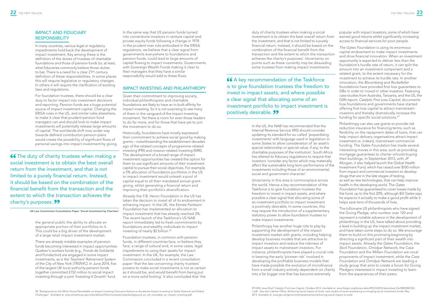# IMPACT AND FIDUCIARY RESPONSIBILITY

In many countries, various legal or regulatory impediments hold back the development of impact investment. Key among these is the definition of the duties of trustees of charitable foundations and those of pension funds (or, at least, what fiduciaries commonly believe those duties to be). There is a need for a clear 21st century definition of these responsibilities. In some places this will require legislative or regulatory changes. In others it will require the clarification of existing laws and regulations.

For foundation trustees, there should be a clear duty to factor impact into investment decisions and reporting. Pension funds are a huge potential source of impact investment capital. Changing the ERISA rules in the US, and similar rules elsewhere, to make it clear that prudent pension fund managers can and should look to make impact investments will potentially release large amounts of capital. The worldwide shift now under way towards defined contribution pension plans would create the possibility of significant flows of personal savings into impact investment by giving

66 The duty of charity trustees when making a social investment is to obtain the best overall return from the investment, and that is not limited to a purely financial return. Instead, it should be based on the combination of the financial benefit from the transaction and the extent to which the transaction achieves the charity's purposes. 99

> the general public the ability to allocate an appropriate portion of their portfolios to it. This could be a big driver of the development of a large retail impact investment market.

There are already notable examples of pension funds becoming interested in impact opportunities. Quebec's workers funds (e.g., *Fonds de Solidarité and Fondaction*) are engaged in some impact investments, as is the *Teachers' Retirement System of the City of New York (TRSNYC)*. In June 2014, five of the largest UK local authority pension funds together committed £152 million to social impact investing through a joint 'Investing 4 Growth' fund.

Already the *F.B. Heron Foundation* in the US has taken the decision to invest all of its endowment in achieving impact. In the UK, the *Esmée Fairbairn Foundation* has implemented an allocation to impact investment that has already reached 3%. The recent launch of the Taskforce's US NAB report immediately led to fresh commitments by foundations and wealthy individuals to impact investing of nearly \$2 billion.<sup>28</sup>

In the same way that US pension funds turned into cornerstone investors in venture capital and private equity funds following a change in 1978 in the prudent man rule embodied in the ERISA regulations, we believe that a clear signal from governments everywhere to foundations and pension funds, could lead to large amounts of capital flowing to impact investments. Governments with Sovereign Wealth Funds making it clear to their managers that they have a similar responsibility would add to these flows.

# IMPACT INVESTING AND PHILANTHROPY

Given their commitment to improving society, individual philanthropists and charitable foundations are likely to have an in-built affinity for impact investing. So it is not surprising to see many of them in the vanguard of the impact investing movement. Yet there is room for even those leaders to do far more, and for those that have yet to join the movement to do so.

Historically, foundations have mostly expressed their commitment to achieve social good by making grants – notwithstanding the establishment decades ago of the related concepts of programme-related investing (PRI) and mission-related investing (MRI). The development of a broad range of impact investment opportunities has created the option for them to use significant amounts of their investment capital to pursue their social objectives. For example, a 5% allocation of foundation portfolios in the US to impact investment would unleash a pool of capital equal to all their mandated annual grantgiving, whilst generating a financial return and improving their portfolio's diversification.

*The Gates Foundation* is using its enormous capital endowment to make impact investments and drive financial innovation. When an investment opportunity is expected to deliver less than the foundation's hurdle rate of return, it can split the amount into an investment component and a related grant, to the extent necessary for the investment to achieve its hurdle rate. In another innovation, the *Bloomberg* and *Rockefeller* foundations have provided first loss guarantees to SIBs in order to 'crowd in' other investors. Featuring case studies from Australia, Tanzania, and the US, the GIIN report, *Catalytic First Loss Capital*, documents how foundations and governments have started offering first-loss capital to attract mainstream investors and thereby dramatically increase the funding for specific social solutions.<sup>29</sup>

Foundation trustees, in common with pension funds, in different countries face, or believe they face, a range of cultural and, in some cases, legal impediments to using their assets for impact investment. In the UK, for example, the Law Commission concluded in a recent consultation paper 'that the law concerning charity trustees' powers to make social investments is not as certain as it should be, and would benefit from being put on a more solid footing'. It also concluded that 'the

duty of charity trustees when making a social investment is to obtain the best overall return from the investment, and that is not limited to a purely financial return. Instead, it should be based on the combination of the financial benefit from the transaction and the extent to which the transaction achieves the charity's purposes'. Uncertainty on points such as these currently may be dissuading some trustees from making impact investments.

66 A key recommendation of the Taskforce is to give foundation trustees the freedom to invest in impact assets, and where possible a clear signal that allocating some of an investment portfolio to impact investment is positively desirable. **99** 

> In the US, the NAB has recommended that the Internal Revenue Service (IRS) should consider updating its standard for so-called 'jeopardising investments' with language used in legislation in some States to allow consideration of 'an asset's special relationship or special value, if any, to the charitable purposes of the institution'. South Africa has altered its fiduciary regulations to require that investors 'consider any factor which may materially affect the sustainable long term performance of the investments including those of an environmental, social and government character'.

Uncertainty in this area is commonplace across the world. Hence a key recommendation of the Taskforce is to give foundation trustees the freedom to invest in impact assets, and where possible a clear signal that allocating some of an investment portfolio to impact investment is positively desirable. In some countries, this

popular with impact investors, some of which have earned good returns whilst significantly increasing access to financial services for poor people.

may require the introduction of a supplementary statutory power to allow foundation trustees to make impact investments. Philanthropy has another huge role to play by supporting the development of the impact investment market with grants, including helping develop business models that are attractive to impact investors and reduce the riskiness of impact assets to mainstream investors. For instance, philanthropists have played a crucial role in bearing the early 'pioneer risk' involved in developing the profitable business models that have made possible the evolution of microfinance from a small industry entirely dependent on charity into a far bigger one that has become extremely The billionaire US philanthropists who have signed the Giving Pledge, who number over 120 and represent a notable advance in the development of philanthropy in the US, have talked about providing a lead in building up the impact investment market, and have taken some steps to do so. We encourage them to build on this promising beginning by directing a significant part of their wealth into impact assets. Already the *Gates Foundation*, the *Skoll Foundation, Omidyar Network,* the *Case Foundation* and the *Milken Foundation* are vocal proponents of impact investment, while the *Case Foundation* and *Omidyar Network* are leading a study group that aims to create a forum for Giving Pledgers interested in impact investing to learn from the experiences of their peers.

Philanthropy can also use grants to provide risk reduction insurance for financing terms, such as flexibility on the repayment dates of loans, that can help impact delivery organisations attract impact investment or, indeed, mainstream commercial funding. The *Gates Foundation* has made several interesting moves in this area, such as providing mortgage guarantees to charter schools buying their buildings. In September 2013, with *JP Morgan*, it also helped launch the Global Health Investment Fund, which has raised over \$100 million from impact and commercial investors to develop drugs that are in the late stages of testing, as well as new technologies, that can help improve health in the developing world. The *Gates Foundation* has guaranteed to cover losses made by the fund, up to the first 20%, although Bill Gates says he expects it actually to make a good profit while it helps save tens of thousands of lives.

UK Law Commission Consultation Paper 'Social Investment by Charities'

2013. Available at: www.gov.uk/government/publications/achieving-social-impact-at-scale

28 "Background on the White House Roundtable on Impact Investing: Executive Actions to Accelerate Impact Investing to Tackle National and Global Challenges". Available at: www.whitehouse.gov/sites/default/files/microsites/ostp/background\_on\_wh\_rountable\_on\_impact\_investing.pdf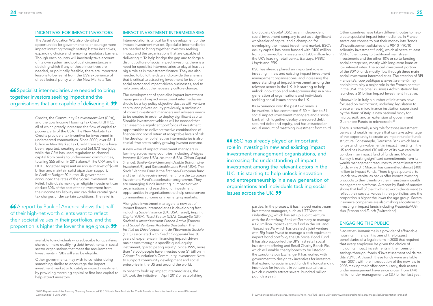# INCENTIVES FOR IMPACT INVESTORS

The Asset Allocation WG also identified opportunities for governments to encourage more impact investing through setting better incentives, expanding choice and removing regulatory barriers. Though each country will inevitably take account of its own system and political circumstances in deciding which if any of these incentives are needed, or politically feasible, there are important lessons to be learnt from the US's experience of direct federal policy with the New Markets Tax

66 Specialist intermediaries are needed to bring together investors seeking impact and the organisations that are capable of delivering it. **99** 

> Credits, the Community Reinvestment Act (CRA), and the Low Income Housing Tax Credit (LIHTC), all of which greatly increased the flow of capital to poorer parts of the USA. The New Markets Tax Credits provide a tax incentive for investment in underserved communities. Since 2000, over \$31.1 billion in New Market Tax Credit transactions have been reported, creating around 561,873 new jobs, while the CRA has used regulation to channel capital from banks to underserved communities, totalling \$55 billion in 2013 alone.<sup>30</sup> The CRA and the LIHTC together represent an annual market of \$6-10 billion and maintain solid bipartisan support. In April at Budget 2014, the UK government announced the rates of the Social Investment Tax Relief. Individuals making an eligible investment can deduct 30% of the cost of their investment from their income tax liability and can defer capital gains tax charges under certain conditions. The relief is

66 A report by Bank of America shows that half of their high-net worth clients want to reflect their societal values in their portfolios, and the proportion is higher the lower the age group.  $\bullet\bullet$ 

> available to individuals who subscribe for qualifying shares or make qualifying debt investments in social sector organisations that meet the requirements. Investments in SIBs will also be eligible.

> Other governments may wish to consider doing something similar to encourage the impact investment market or to catalyse impact investment by providing matching capital or first loss capital to help attract investors.

# IMPACT INVESTMENT INTERMEDIARIES

Intermediation is critical for the development of the impact investment market. Specialist intermediaries are needed to bring together investors seeking impact and the organisations that are capable of delivering it. To help bridge the gap and to forge a distinct culture of social impact investing, there is a need for specialist intermediaries to play at least as big a role as in mainstream finance. They are also needed to build the data and provide the analysis that is critical to attracting investment for both the social sector and impact-driven businesses, and to help bring about the necessary culture change.

> Its experience over the past two years is instructive. It has committed £150 million to 31 social impact investment managers and a social bank which together deploy unsecured debt, secured debt and equity, and has attracted an equal amount of matching investment from third

The development of specialist impact investment managers and impact investment intermediaries should be a key policy objective. Just as with venture capital and private equity previously, a profession of impact investment managers and advisers needs to be created in order to deploy significant capital. Sizeable investment vehicles will be needed that can assemble significant portfolios of investment opportunities to deliver attractive combinations of financial and social return at acceptable levels of risk. The development of effective intermediaries is also crucial if we are to satisfy growing investor demand.

A new wave of impact investment managers is forming across many countries, including *Bridges Ventures* (UK and USA), *Acumen* (USA), *Citizen Capital*  (France), *BonVenture* (Germany) *Double Bottom Line Investors* (US), and *Sustainable Jobs Fund* (USA). The *Social Venture Fund* is the first pan-European fund and the first to receive investment from the European Investment Fund's accelerator programme. They are managing funds investing in impact-driven organisations and searching for investment opportunities in organisations that help underserved communities at home or in emerging markets.

Alongside investment managers, a new set of impact finance intermediaries is developing fast, including *Social Finance* (UK, USA, Israel), *Imprint Capital* (USA), *Third Sector* (USA), *ClearlySo* (UK), *Société d'Investissement France Active* (France) and *Social Ventures Australia (*Australia). The *Institut de Développement de l'Economie Sociale* (IDES) associated with *Credit Coopératif* has 30 years of experience in financing impact-driven businesses through a specific quasi-equity instrument, 'participating equity'. Since 1995, more than 13,500 people have invested over \$1 billion in Calvert Foundation's Community Investment Note to support community development and social enterprise in the US and around the world.

In order to build up impact intermediaries, the UK took the initiative in April 2012 of establishing 66 BSC has already played an important role in investing in new and existing impact investment management organisations, and increasing the understanding of impact investment among the relevant actors in the UK. It is starting to help unlock innovation and entrepreneurship in a new generation of organisations and individuals tackling social issues across the UK.

generation of organisations and individuals tackling social issues across the UK.

*Big Society Capital* (BSC) as an independent social investment company to act as a significant wholesaler of capital and a champion for developing the impact investment market. BSC's equity capital has been funded with £400 million from unclaimed bank assets and £200 million from the UK's leading retail banks, *Barclays*, *HSBC*, *Lloyds* and *RBS*. BSC has already played an important role in investing in new and existing impact investment management organisations, and increasing the understanding of impact investment among the relevant actors in the UK. It is starting to help unlock innovation and entrepreneurship in a new Other countries have taken different routes to help create specialist impact intermediaries. In France, savers can choose to put their money into 'fonds d'investissement solidaires dits 90/10 ' (90/10 solidarity investment funds), which allocate at least 90% of the money to traditional mainstream investments and the other 10% or so to funding social enterprises, mostly with long-term loans at low interest rates. The social investment portion of the 90/10 funds mostly flow through three main social investment intermediaries. The creation of BPI France (*Banque publique d'investissement*) may enable it to play a major role in the French context. In the USA, the *Small Business Administration* has launched a \$1 billion Impact Investment Initiative.

parties. In the process, it has helped mainstream investment managers, such as *LGT Venture Philanthropy*, which has set up a joint venture with the *Berenberg Bank* of Germany to manage a £20 million impact venture fund in the UK, and *Threadneedle*, which has created a joint venture with *Big Issue Invest* to manage a cash equivalent impact bond portfolio, the UK Social Bond Fund. It has also supported the UK's first retail social investment offering and Retail Charity Bonds Plc, which will enable charity bonds to be listed on the *London Stock Exchange*. It has worked with government to design tax incentives for investors that extend to social impact funds the longstanding incentives for investors in venture capital trusts (which currently attract several hundred million pounds a year).

Meanwhile in Italy a number of initiatives have focused on microcredit, including legislation to create a new microfinance institution supervised by the *Bank of Italy*; a new national body for microcredit; and an extension of government Guarantee Funds to microcredit.31

There is potentially a big role for those investment banks and wealth managers that can take advantage of the opportunity to create an impact fund of funds structure. For example, Deutsche Bank which has a long-standing involvement in impact investing in the US and has invested £10 million of its own capital in London in an impact fund of funds and Morgan Stanley is making significant commitments from its wealth management resources to impact investment funds, while J.P. Morgan has committed almost \$100 million to Impact Funds. There is great potential to unlock new capital as banks offer impact investing products to their clients on their mainstream wealth management platforms. A report by *Bank of America* shows that half of their high-net worth clients want to reflect their societal values in their portfolios, and the proportion is higher the lower the age group. Several insurance companies are also making allocations to investing in impact funds including *Prudential* (US), *Axa* (France) and *Zurich* (Switzerland).

# ENGAGING THE PUBLIC

*Habitat et Humanisme* is a provider of affordable housing in France. It is one of the biggest beneficiaries of a legal reform in 2008 that required that every employee be given the choice of including impact investments in their pension savings through 'fonds d'investissement solidaires dits 90/10'. Although these funds were available from 2001, with the introduction of the new law in 2008 making their offer compulsory, their assets under management have since grown from €478 million under management to €3.7 billion last year.

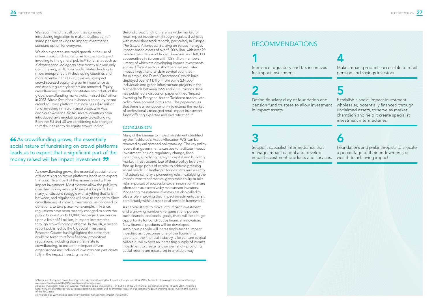We recommend that all countries consider introducing legislation to make the allocation of some pension savings to impact investment a standard option for everyone.

As crowdfunding grows, the essentially social nature of fundraising on crowd platforms leads us to expect that a significant part of the money raised will be impact investment. Most systems allow the public to give their money away or to invest it for profit, but many jurisdictions struggle with anything that falls in between, and regulations will have to change to allow crowdfunding of impact investments, as opposed to donations, to take place. For example, in France, regulations have been recently changed to allow the public to invest up to €1,000, per project per person up to a limit of €1 million, in impact investments through crowdfunding platforms. In the UK, a recent report published by the UK Social Investment Research Council has highlighted the steps that could be taken to reform financial promotions regulations, including those that relate to crowdfunding, to ensure that impact-driven organisations and individual investors can participate fully in the impact investing market.<sup>33</sup>

We also expect to see rapid growth in the use of online crowdfunding platforms to open up impact investing to the general public.<sup>32</sup> So far, sites such as *Kickstarter* and *Indiegogo* have mostly allowed only grant making, whilst *Kiva* has facilitated lending to micro entrepreneurs in developing countries and more recently in the US. But we would expect crowd-sourced equity to grow in importance as and when regulatory barriers are removed. Equity crowdfunding currently constitutes around 4% of the global crowdfunding market which raised \$2.7 billion in 2012. *Music Securities* in Japan is an equity-based crowd sourcing platform that now has a \$46 million fund, investing in microfinance projects in Asia and South America. So far, several countries have introduced laws regulating equity crowdfunding. Both the EU and US are considering rule changes to make it easier to do equity crowdfunding.

66 As crowdfunding grows, the essentially social nature of fundraising on crowd platforms leads us to expect that a significant part of the money raised will be impact investment. 99

Beyond crowdfunding there is a wider market for retail impact investment through regulated vehicles with established track records, particularly in Europe. *The Global Alliance for Banking on Values* manages impact-based assets of over €100 billion, with over 20 million customers worldwide. There are over 160,000 cooperatives in Europe with 123 million members – many of which are developing impact investments across different sectors. And there are regulated impact investment funds in several countries – for example, the Dutch 'Groenfonds', which have deployed over €11 billion from some 234,000 individuals into green infrastructure projects in the Netherlands between 1995 and 2008. *Triodos Bank* has published a discussion paper entitled 'Impact Investing for Everyone' for the Taskforce to stimulate policy development in this area. The paper argues that there is a real opportunity to extend the market of professionally managed retail impact investment funds offering expertise and diversification.<sup>34</sup>

# **CONCLUSION**

Many of the barriers to impact investment identified by the Taskforce's Asset Allocation WG can be removed by enlightened policymaking. The key policy levers that governments can use to facilitate impact investment include regulatory change, fiscal incentives, supplying catalytic capital and building market infrastructure. Use of these policy levers will free up large pools of capital to address pressing social needs. Philanthropic foundations and wealthy individuals can play a pioneering role in catalysing the impact investment market, given their ability to take risks in pursuit of successful social innovation that are often seen as excessive by mainstream investors. Pioneering mainstream investors are also called to play a role in proving that 'impact investments can sit comfortably within a traditional portfolio framework'.

As capital starts to move into impact investment, and a growing number of organisations pursue both financial and social goals, there will be a huge opportunity for constructive financial innovation. New financial products will be developed. Ambitious people will increasingly turn to impact investing as it becomes one of the flourishing sectors of the financial industry. Like venture capital before it, we expect an increasing supply of impact investment to create its own demand – providing social returns are measured in a reliable way.

34 Available at: www.triodos.com/en/investment-management/impact-investment/



# RECOMMENDATIONS

# 1

Introduce regulatory and tax incentives for impact investment.

# 2

Define fiduciary duty of foundation and pension fund trustees to allow investment in impact assets.

# 3

Support specialist intermediaries that manage impact capital and develop impact investment products and services.

# 4

Make impact products accessible to retail pension and savings investors.

5

Establish a social impact investment wholesaler, potentially financed through unclaimed assets, to serve as market champion and help it create specialist investment intermediaries.

# 6

Foundations and philanthropists to allocate a percentage of their endowments or wealth to achieving impact.

<sup>32</sup>Toniic and European Crowdfunding Network, Crowdfunding for Impact in Europe and USA, 2013. Available at: www.gle.iipcollaborative.org/ wp-content/uploads/2014/01/CrowdfundingForImpact.pdf

<sup>33</sup> Social Investment Research Council, Marketing social investments - an outline of the UK financial promotion regime, 18 June 2014. Available here: www.cityoflondon.gov.uk/business/economic-research-and-information/research-publications/Pages/marketing-social-investments-outlineof-the-FPO.aspx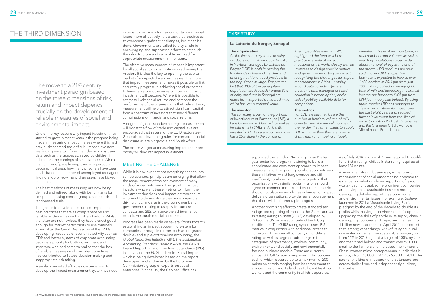The move to a 21<sup>st</sup> century investment paradigm based on the three dimensions of risk, return and impact depends crucially on the development of reliable measures of social and environmental impact.

One of the key reasons why impact investment has started to grow in recent years is the progress being made in measuring impact in areas where this had previously seemed too difficult. Impact investors are finding ways to inform their decisions by using data such as the grades achieved by children in education, the earnings of small farmers in Africa, the number of people employed in a particular geographical area, how many prisoners have been rehabilitated, the number of unemployed teenagers finding a job or how many drug users have kicked the habit.

The best methods of measuring are now being defined and refined, along with benchmarks for comparison, using control groups, scorecards and randomised trials.

The goal is to develop measures of impact and best practices that are as comprehensive and reliable as those we use for risk and return. Whilst the latter are not flawless, they have proved good enough for market participants to use routinely. In and after the Great Depression of the 1930s, developing measures of economic activity such as GDP and better systems of corporate accounting became a priority for both government and investors, who had come to realise that the lack of reliable measures and consistent practices had contributed to flawed decision making and inappropriate risk taking.

A similar concerted effort is now underway to develop the impact measurement system we need in order to provide a framework for tackling social issues more effectively. It is a task that requires us to overcome significant challenges, but it can be done. Governments are called to play a role in encouraging and supporting efforts to establish the infrastructure and capability required for appropriate measurement in the future.

The effective measurement of impact is important for all social sector organisations in achieving their mission. It is also the key to opening the capital markets for impact-driven businesses. The more that impact measurement makes it possible to link accurately progress in achieving social outcomes to financial returns, the more compelling impact investment will become. Where it is possible to estimate likely social returns and compare the performance of the organisations that deliver them, measurement will help to attract significant capital from a spectrum of investors that seek different combinations of financial and social returns.

A degree of global standard setting in measurement will boost the flow of trade and capital. We are encouraged that several of the EU Directorates-Generals are developing rules for consistent social disclosure as are Singapore and South Africa.

The better we get at measuring impact, the more money will flow into impact investment.

# MEETING THE CHALLENGE

While it is obvious that not everything that counts can be counted, principles are emerging that allow the measurement of the achievement of many kinds of social outcomes. The growth in impact investors who want these metrics to inform their investment decisions and impact entrepreneurs who want to demonstrate their social impact is driving this change, as is the growing number of governments looking to use pay-for-success contracts and SIBs to finance the achievement of explicit, measurable social outcomes.

Progress has been made on several fronts towards establishing an impact accounting system for companies, through initiatives such as integrated double- and triple-bottom-line accounting, the *Global Reporting Initiative* (GRI), the *Sustainable Accounting Standards Board* (SASB), the GIIN's Impact Reporting and Investment Standards (IRIS) initiative and the EU Standard for Social Impact, which is being developed based on the report developed and endorsed by the European Commission's group of experts on social enterprise.35 In the UK, the Cabinet Office has

# THE THIRD DIMENSION

supported the launch of 'Inspiring Impact', a ten year sector-led programme aiming to build a coordinated and consistent approach to impact measurement. The growing collaboration between these initiatives, whilst long overdue and still insufficient, combined with the recognition that organisations with similar social missions should agree on common metrics and ensure that metrics should not place an unduly heavy burden on impact delivery organisations, provide real encouragement that there will be further rapid progress.

Another promising effort to create standardised ratings and reporting of impact is the *Global Impact Investing Ratings System* (GIIRS) developed by *B Lab*, the US organisation behind the B Corp certification. The GIIRS rating system uses IRIS metrics in conjunction with additional criteria to come up with an overall company or fund-level rating, as well as targeted sub-ratings in the categories of governance, workers, community, environment, and socially and environmentallyfocused business models. There are currently almost 500 GIIRS rated companies in 39 countries, each of which is scored up to a maximum of 200 points on criteria ranging from its commitment to a social mission and its land use to how it treats its workers and the community in which it operates.

As of July 2014, a score of 91 was required to qualify for a 3-star rating, whilst a 5-star rating required at least 125 points.

Among mainstream businesses, while robust measurement of social outcomes (as opposed to essentially marketing-driven reporting of good works) is still unusual, some prominent companies are moving to a sustainable business model, developing detailed reporting around social and environmental issues. For example, *Unilever* launched in 2011 a 'Sustainable Living Plan', pledging by the end of the decade to double its profits whilst halving its environmental footprint, upgrading the skills of people in its supply chain in developing countries and improving the health of 1 billion new customers. In April 2014, it reported that, among other things, 48% of its agricultural raw materials came from sustainable sources, up from 14% in 2010, against a target of 100% by 2020; and that it had helped and trained over 570,000 smallholder farmers and increased the number of Shakti women micro-entrepreneurs in India that it employs from 48,000 in 2012 to 65,000 in 2013. The sooner this kind of measurement is standardised across similar firms and independently audited, the better.

# La Laiterie du Berger, Senegal

## The organisation

*As the first company to make dairy products from milk produced locally in Northern Senegal, La Laiterie du Berger (LDB) is both improving the livelihoods of livestock herders and offering nutritional food products to the population at large. Despite the fact that 30% of the Senegalese population are livestock herders 90% of dairy products in Senegal are made from imported powdered milk, which has low nutritional value.*

## The investor

*The company is part of the portfolio of* Investisseurs et Partenaires (I&P)*, a Paris based impact fund which makes investments in SMEs in Africa. I&P invested in LDB as a start-up and now has a 25% share in the company.*

*The Impact Measurement WG highlighted the fund as a best practice example of impact measurement. It works closely with its investees to design specific metrics and systems of reporting on impact recognising the challenges for impact measurement in Africa – notably around data collection (where electronic data management and collection is not an option) and a lack of publicly available data for comparison.*

## The metrics

*For LDB the key metrics are the number of herders, volume of milk collected and the annual income of the herder. If a farmer wants to supply LDB with milk then they are given a churn, each churn being uniquely* 

*identified. This enables monitoring of total numbers and volumes as well as enabling calculations to be made about the level of pay at the end of the month. LDB products are now sold in over 6,000 shops. The business is expected to involve over 1,400 herders in 2014 (up from just 200 in 2006), collecting nearly 2,000 tons of milk and increasing the annual income per herder to €408 (up from €314 just three years before). By using these metrics LBD has managed to clearly demonstrate its impact over the past eight years and secured further investment from the likes of impact investors* PhiTrust Partenaires *and the* Grameen Crédit Agricole Microfinance Foundation*.*

# CASE STUDY

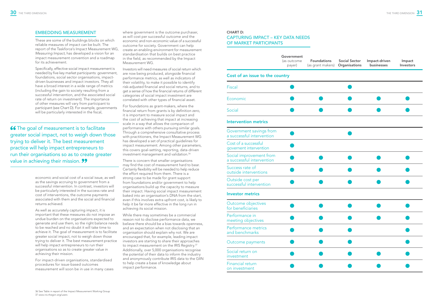# EMBEDDING MEASUREMENT

These are some of the buildings blocks on which reliable measures of impact can be built. The report of the Taskforce's Impact Measurement WG, *Measuring Impact*, has developed a vision for an impact measurement convention and a roadmap for its achievement.

Specifically, effective social impact measurement is needed by five key market participants: government, foundations, social sector organisations, impactdriven businesses and impact investors. They all have a broad interest in a wide range of metrics (including the gain to society resulting from a successful intervention, and the associated social rate of return on investment). The importance of other measures will vary from participant to participant (see Chart D). For example, governments will be particularly interested in the fiscal,

66 The goal of measurement is to facilitate greater social impact, not to weigh down those trying to deliver it. The best measurement practice will help impact entrepreneurs to run their organisations so as to create greater value in achieving their mission. 99

> economic and social cost of a social issue, as well as the savings accruing to government from a successful intervention. In contrast, investors will be particularly interested in the success rate and cost of interventions, the outcome payments associated with them and the social and financial returns achieved.

For foundations as grant-makers, where the financial return from grants is by definition zero, it is important to measure social impact and the cost of achieving that impact at increasing scale in a way that allows the comparison of performance with others pursuing similar goals. Through a comprehensive consultative process with practitioners, the Impact Measurement WG has developed a set of practical guidelines for impact measurement. Among other parameters, this covers goal-setting, reporting, data-driven investment management and validation.<sup>36</sup>

As well as accurately capturing impact, it is important that these measures do not impose an undue burden on the organisations expected to generate and use them, so the right balance needs to be reached and no doubt it will take time to achieve it. The goal of measurement is to facilitate greater social impact, not to weigh down those trying to deliver it. The best measurement practice will help impact entrepreneurs to run their organisations so as to create greater value in achieving their mission.

For impact-driven organisations, standardised procedures for issue-based outcomes measurement will soon be in use in many cases

where government is the outcome purchaser, as will cost per successful outcome and the economic and non-economic value of a successful outcome for society. Government can help create an enabling environment for measurement standardisation that builds on best practice in the field, as recommended by the Impact Measurement WG.

Investors will need measures of social return which are now being produced, alongside financial performance metrics, as well as indicators of their volatility, to make it possible to identify risk-adjusted financial and social returns, and to get a sense of how the financial returns of different categories of social impact investment are correlated with other types of financial asset.

There is concern that smaller organisations may find the cost of measurement hard to bear. Certainly flexibility will be needed to help reduce the effort required from them. There is a strong case to be made for grant support from foundations and/or government to help organisations build up the capacity to measure their impact. Having social impact measurement baked into an organisation's DNA from the start, even if this involves extra upfront cost, is likely to help it be far more effective in the long run in achieving its social mission.

While there may sometimes be a commercial reason not to disclose performance data, we believe there should be a bias towards openness, and an expectation when not disclosing that an organisation should explain why not. We are encouraged that, for example, leading impact investors are starting to share their approaches to impact measurement on the IRIS Registry.<sup>37</sup> Additionally, over 5,000 organisations recognise the potential of their data to inform the industry and anonymously contribute IRIS data to the GIIN to help create a base of knowledge about impact performance.

# CHART D: CAPTURING IMPACT – KEY DATA NEEDS OF MARKET PARTICIPANTS

|                                  | Government<br>(as outcome<br>payer) | <b>Foundations</b><br>(as grant makers) Organisations | <b>Social Sector</b> | Impact-driven<br>businesses | Impact<br>Investors |
|----------------------------------|-------------------------------------|-------------------------------------------------------|----------------------|-----------------------------|---------------------|
| ue to the country                |                                     |                                                       |                      |                             |                     |
|                                  |                                     |                                                       |                      |                             |                     |
|                                  |                                     |                                                       |                      |                             |                     |
|                                  |                                     |                                                       |                      |                             |                     |
| metrics                          |                                     |                                                       |                      |                             |                     |
| avings from<br><b>tervention</b> |                                     |                                                       |                      |                             |                     |
| essful<br>rvention               |                                     |                                                       |                      |                             |                     |
| ement from<br><b>tervention</b>  |                                     |                                                       |                      |                             |                     |
| эf<br>entions                    |                                     |                                                       |                      |                             |                     |
| ber<br>ervention                 |                                     |                                                       |                      |                             |                     |
| ics                              |                                     |                                                       |                      |                             |                     |
| ectives<br>es                    |                                     |                                                       |                      |                             |                     |
| n.<br>ctives                     |                                     |                                                       |                      |                             |                     |
| netrics<br>rks                   |                                     |                                                       |                      |                             |                     |
| ments                            |                                     |                                                       |                      |                             |                     |
| ρn                               |                                     |                                                       |                      |                             |                     |
| 'n                               |                                     |                                                       |                      |                             |                     |

|                                                      | OUVELIIIIIEIIL<br>(as outcome<br>payer) | <b>Foundations</b><br>(as grant makers) | <b>Social Sector</b><br>Organisations | Impact-driven<br>businesses | Impact<br>Investors |
|------------------------------------------------------|-----------------------------------------|-----------------------------------------|---------------------------------------|-----------------------------|---------------------|
| Cost of an issue to the country                      |                                         |                                         |                                       |                             |                     |
| Fiscal                                               |                                         |                                         |                                       |                             |                     |
| Economic                                             |                                         |                                         |                                       |                             |                     |
| Social                                               |                                         |                                         |                                       |                             |                     |
| Intervention metrics                                 |                                         |                                         |                                       |                             |                     |
| Government savings from<br>a successful intervention |                                         |                                         |                                       |                             |                     |
| Cost of a successful<br>governent intervention       |                                         |                                         |                                       |                             |                     |
| Social improvement from<br>a successful intervention |                                         |                                         |                                       |                             |                     |
| Success rate of<br>outside interventions             |                                         |                                         |                                       |                             |                     |
| Outside cost per<br>successful intervention          |                                         |                                         |                                       |                             |                     |
| <b>Investor metrics</b>                              |                                         |                                         |                                       |                             |                     |
| Outcome objectives<br>for beneficiaries              |                                         |                                         |                                       |                             |                     |
| Performance in<br>meeting objectives                 |                                         |                                         |                                       |                             |                     |
| Performance metrics<br>and benchmarks                |                                         |                                         |                                       |                             |                     |
| Outcome payments                                     |                                         |                                         |                                       |                             |                     |
| Social return on<br>nvestment                        |                                         |                                         |                                       |                             |                     |
| Financial return<br>on investment                    |                                         |                                         |                                       |                             |                     |

|                                                      | OUVELIIIIIEIIL<br>(as outcome<br>payer) | <b>Foundations</b><br>(as grant makers) | <b>Social Sector</b><br>Organisations | Impact-driven<br>businesses | Impact<br>Investors |
|------------------------------------------------------|-----------------------------------------|-----------------------------------------|---------------------------------------|-----------------------------|---------------------|
| Cost of an issue to the country                      |                                         |                                         |                                       |                             |                     |
| <b>Fiscal</b>                                        |                                         |                                         |                                       |                             |                     |
| Economic                                             |                                         |                                         |                                       |                             |                     |
| Social                                               |                                         |                                         |                                       |                             |                     |
| <b>Intervention metrics</b>                          |                                         |                                         |                                       |                             |                     |
| Government savings from<br>a successful intervention |                                         |                                         |                                       |                             |                     |
| Cost of a successful<br>governent intervention       |                                         |                                         |                                       |                             |                     |
| Social improvement from<br>a successful intervention |                                         |                                         |                                       |                             |                     |
| Success rate of<br>outside interventions             |                                         |                                         |                                       |                             |                     |
| Outside cost per<br>successful intervention          |                                         |                                         |                                       |                             |                     |
| <b>Investor metrics</b>                              |                                         |                                         |                                       |                             |                     |
| Outcome objectives<br>for beneficiaries              |                                         |                                         |                                       |                             |                     |
| Performance in<br>meeting objectives                 |                                         |                                         |                                       |                             |                     |
| Performance metrics<br>and benchmarks                |                                         |                                         |                                       |                             |                     |
| Outcome payments                                     |                                         |                                         |                                       |                             |                     |
| Social return on<br>investment                       |                                         |                                         |                                       |                             |                     |
| Financial return<br>on investment                    |                                         |                                         |                                       |                             |                     |

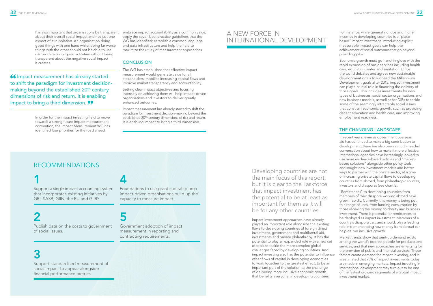about their overall social impact and not just one aspect of it in isolation. An organisation doing good things with one hand whilst doing far worse things with the other should not be able to use narrow data on its good activities without being transparent about the negative social impact it creates.

It is also important that organisations be transparent embrace impact accountability as a common value; apply the seven best practice guidelines that the WG has identified; establish a common language and data infrastructure and help the field to maximize the utility of measurement approaches.

# **CONCLUSION**

In order for the impact investing field to move towards a strong future impact measurement convention, the Impact Measurement WG has identified four priorities for the road ahead:

The WG has established that effective impact measurement would generate value for all stakeholders, mobilise increasing capital flows and improve market transparency and accountability.

Setting clear impact objectives and focusing intensely on achieving them will help impact-driven organisations and investors to deliver greatly enhanced outcomes.

Impact measurement has already started to shift the paradigm for investment decision-making beyond the established 20th century dimensions of risk and return. It is enabling impact to bring a third dimension.

# 4

Foundations to use grant capital to help impact-driven organisations build up the capacity to measure impact.

# 5

Government adoption of impact measurement in reporting and contracting requirements.

# RECOMMENDATIONS

# 1

Support a single impact accounting system that incorporates existing initiatives by GRI, SASB, GIIN, the EU and GIIRS.

# 2

Publish data on the costs to government of social issues.

# 3

Support standardised measurement of social impact to appear alongside financial performance metrics.

Developing countries are not the main focus of this report, but it is clear to the Taskforce that impact investment has the potential to be at least as important for them as it will be for any other countries.

Impact investment approaches have already played an important role alongside the existing flows to developing countries of foreign direct investment, government and multilateral aid, investments and private philanthropy. It has the potential to play an expanded role with a new set of tools to tackle the more complex global challenges faced by developing countries. And impact investing also has the potential to influence other flows of capital in developing economies to work together to the greatest effect, to be an important part of the solution to the challenge of delivering more inclusive economic growth that benefits everyone, in developing countries.

For instance, while generating jobs and higher incomes in developing countries is a "placebased" impact investment, introducing explicit, measurable impact goals can help the achievement of social outcomes that go beyond providing jobs.

Economic growth must go hand-in-glove with the rapid expansion of basic services including health care, education, water and sanitation. Once the world debates and agrees new sustainable development goals to succeed the Millennium Development goals after 2015, impact investment can play a crucial role in financing the delivery of those goals. This includes investments for new types of businesses, social sector organisations and new business models, as well as for DIBs to tackle some of the seemingly intractable social issues that constrain economic growth, such as providing decent education and health care, and improving employment readiness.

# THE CHANGING LANDSCAPE

In recent years, even as government overseas aid has continued to make a big contribution to development, there has also been a much-needed conversation about how to make it more effective. International agencies have increasingly looked to use more evidence-based policies and "marketbased solutions" alongside other policy tools, and sought new investment models and better ways to partner with the private sector, at a time of increasing private capital flows to developing countries from abroad, from philanthropic sources, investors and diasporas (see chart E).

"Remittances" to developing countries from members of their diaspora working abroad have grown rapidly. Currently, this money is being put to a range of uses, from funding consumption by those receiving the money, to charity and business investment. There is potential for remittances to be deployed as impact investment. Members of a country's diaspora can, and should, play a leading role in demonstrating how money from abroad can help deliver inclusive growth.

Market trends show that pent-up demand exists among the world's poorest people for products and services, and that new approaches are emerging for the provision of public and financial services. These factors create demand for impact investing, and it is estimated that 70% of impact investments today are made in emerging markets. Impact investing in international development may turn out to be one of the fastest growing segments of a global impact investment market.

# A NEW FORCE IN INTERNATIONAL DEVELOPMENT

66 Impact measurement has already started to shift the paradigm for investment decisionmaking beyond the established 20th century dimensions of risk and return. It is enabling impact to bring a third dimension. **99**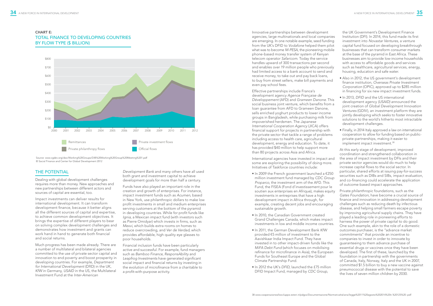# THE POTENTIAL

Dealing with global development challenges requires more than money. New approaches and new partnerships between different actors and sources of capital are essential, too.

Impact investments can deliver results for international development. It can transform development finance, because it better aligns all the different sources of capital and expertise, to achieve common development objectives. It brings the expertise of different players to bear on solving complex development challenges and demonstrates how investment and grants can work hand in hand to generate both financial and social returns.

Much progress has been made already. There are a number of multilateral and bilateral agencies committed to the use of private sector capital and innovation to end poverty and boost prosperity in developing countries. For example, *Department for International Development* (DfID) in the UK, *KfW* in Germany, *USAID* in the US, the Multilateral Investment Fund at the *Inter-American* 

*Development Bank* and many others have all used both grant and investment capital to achieve development goals for more than half a century.

Effective partnerships include France's development agency *Agence Française de Développement* (AFD) and *Grameen Danone*. This social business joint venture, which benefits from a loan guarantee from AFD to Grameen Danone, sells enriched yoghurt products to lower income groups in Bangladesh, while purchasing milk from impoverished herdsmen. The *Japanese International Cooperation Agency* (JICA) offers financial support for projects in partnership with the private sector that tackle a range of problems including access to health care, agricultural development, energy and education. To date, it has provided \$40 million to help support more

Funds have also played an important role in the creation and growth of enterprises. For instance, impact investment funds such as *Acumen*, based in New York, use philanthropic dollars to make low profit investments in small and medium enterprises serving customers at the bottom of the pyramid in developing countries. While for profit funds like *Ignia*, a Mexican impact fund (with investors such as Pierre Omidyar) which invests in firms, such as *Mexvi*, which builds extra rooms on homes to reduce overcrowding, and *Ver de Verdad*, which provides affordable, high quality eye glasses to poor households.

Financial inclusion funds have been particularly active and successful. For example, fund managers such as *Bamboo Finance, ResponsAbility* and *Leapfrog Investments* have generated significant social impact and financial returns by investing in the evolution of microfinance from a charitable to a profit-with-purpose activity.



# CHART E: TOTAL FINANCE TO DEVELOPING COUNTRIES BY FLOW TYPE (\$ BILLION)

- Also in 2012, the US government's development finance institution, *Overseas Private Investment Corporation* (OPIC), approved up to \$285 million in financing for six new impact investment funds.
- In 2013, *DFID* and the US international development agency *(USAID)* announced the joint creation of *Global Development Innovation Ventures* (GDIV), an investment platform they are jointly developing which seeks to foster innovative solutions to the world's hitherto most intractable development challenges.
- Finally, in 2014 Italy approved a law on international cooperation to allow for funding based on publicprivate-partnerships, making it easier to implement impact investment.<sup>38</sup>

Innovative partnerships between development agencies, large multinationals and local companies are emerging. In one notable example, seed funding from the UK's DFID to *Vodafone* helped them pilot what was to become *M-PESA*, the pioneering mobile phone-based money transfer system of Kenyan telecom operator *Safaricom*. Today the service handles upward of 300 transactions per second and enables over 19 million people who previously had limited access to a bank account to send and receive money, to take out and pay back loans, to buy from street sellers, make bill payments and even pay school fees.

- Fund, the FISEA (Fond d'investissement pour le soutien aux enterprises en Afrique), makes equity investments in entreprises that have a high development impact in Africa through, for example, creating decent jobs and encouraging sustainable growth.
- In 2010, the Canadian Government created Grand Challenges Canada, which makes impact investments in low and middle income countries.
- In 2011, the German Development Bank *KfW* provided €5 million of investment to the Aavishkaar India Impact Fund. They have invested in to other impact-driven funds like the *MiFA Debt Fund* (which focuses on mobilising refinance for microfinance in Asia), the European Funds for Southeast Europe and the Global Climate Partnership Fund.
- In 2012 the UK's *DFID*, launched the £75 million DFID Impact Fund, managed by *CDC Group*,

than 80 projects across Asia and Africa. International agencies have invested in impact and some are exploring the possibility of doing more. Initiatives of Taskforce countries include: • In 2009 the French government launched a €250 million investment fund managed by *CDC Group Proparco*, the investment arm of the AFD. This At this early stage of development, improved coordination and strengthened collaboration in the area of impact investment by DFIs and their private sector agencies would do much to help increase capital flows to the social sector. In particular, shared efforts at issuing pay-for-success securities such as DIBs and SIBs, impact evaluation, and co-financing could accelerate the application of outcome-based impact approaches.

the UK Government's Development Finance Institution (DFI). In 2014, this fund made its first investment into *Novastar Ventures*, a venture capital fund focused on developing breakthrough businesses that can transform consumer markets at the base of the pyramid in East Africa. These businesses aim to provide low-income households with access to affordable goods and services such as healthcare, agricultural services, energy, housing, education and safe water.

Private philanthropic foundations, such as the *Gates Foundation*, have become a crucial source of finance and innovation in addressing development challenges such as reducing death by infectious disease, and helping small farmers escape poverty by improving agricultural supply chains. They have played a leading role in pioneering efforts to harness the power of private capital to do good. One such example, akin to the role of a domestic outcomes purchaser, is the "advance market commitments" that provide an incentive to companies to invest in order to innovate by guaranteeing to them advance purchase of essential drugs or vaccines once they have been developed. The first of these, launched by the foundation in partnership with the governments of Canada, Italy, Norway, Italy and the UK in 2007, committed \$1.5 billion to buy a new vaccine against pneumococcal disease with the potential to save the lives of seven million children by 2030.



Source: www.cgdev.org/doc/Working%20Groups/DIB%20Working%20Group%20Meeting%201.pdf © Social Finance and Center for Global Development 2012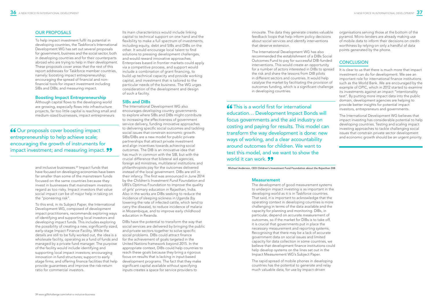# OUR PROPOSALS

To help impact investment fulfil its potential in developing countries, the Taskforce's International Development WG has set out several proposals for government, business and the social sector, both in developing countries and for their counterparts abroad who are trying to help in their development. These proposals cover areas that the rest of this report addresses for Taskforce member countries, namely: boosting impact entrepreneurship; encouraging the spread of financial and nonfinancial tools for impact investment including SIBs and DIBs; and measuring impact.

and inclusive businesses.<sup>39</sup> Impact funds that have focused on developing economies have been far smaller than some of the mainstream funds focused on the same countries because they invest in businesses that mainstream investors regard as too risky. Impact investors that value social impact can be of major help in taking on the "pioneering risk".

# Boosting Impact Entrepreneurship

Although capital flows to the developing world are growing, especially flows into infrastructure projects, far too little capital is reaching small and medium-sized businesses, impact entrepreneurs

66 Our proposals cover boosting impact entrepreneurship to help achieve scale; encouraging the growth of instruments for impact investment; and measuring impact. 99

> To this end, in its Subject Paper, the International Development WG, composed of development impact practitioners, recommends exploring ways of identifying and supporting local investors and developing impact funds. This includes exploring the possibility of creating a new, significantly sized, early-stage Impact Finance Facility. While the details are still to be fully worked out, the idea is a wholesale facility, operating as a fund of funds and managed by a private fund manager. The purpose of the facility would include identifying and supporting local impact investors; encouraging innovation in fund structures; support to early stage firms; and offering finance facilities that help provide guarantees and improve the risk-return ratio for commercial investors.

Its main characteristics would include linking capital to technical support on one hand and the flexibility to make a full spectrum of investments, including equity, debt and SIBs and DIBs on the other. It would encourage local talent to find solutions to pressing development challenges, and would reward innovative approaches. Enterprises based in frontier markets could apply via a competitive process, and support would include a combination of grant financing, to build up technical capacity and provide working capital, and investment that is tailored to the particular needs of the business. The WG urges consideration of the development and design of such a facility.

# SIBs and DIBs

The International Development WG also encourages developing country governments to explore where SIBs and DIBs might contribute to increasing the effectiveness of government service delivery, funding innovative approaches to delivering specific social outcomes and tackling social issues that constrain economic growth. SIBs/DIBs are a new model for public private partnerships that attract private investment and align incentives towards achieving social outcomes. The DIB is an innovative idea that has much in common with the SIB, but with the crucial difference that bilateral aid agencies, foreign aid ministries, multilateral institutions and philanthropists pay for the outcomes delivered instead of the local government. DIBs are still in their infancy. The first was announced in June 2014 by the *Children's Investment Fund Foundation* and UBS's Optimus Foundation to improve the quality of girls' primary education in Rajasthan, India. Also in the works are DIBs seeking to reduce the incidence of sleeping sickness in Uganda (by lowering the rate of infected cattle, which tend to carry the disease), to reduce incidence of malaria in Mozambique, and to improve early childhood education in Rwanda.

DIBs have the potential to transform the way that social services are delivered by bringing the public and private sectors together to solve specific social problems. DIBs could attract finance for the achievement of goals targeted in the United Nations framework beyond 2015. In the appropriate context, DIBs could help countries to reach these goals because they bring a rigorous focus on results that is lacking in input-based development programs. The fact that they make significant capital available without specifying inputs creates a space for service providers to

innovate. The data they generate creates valuable feedback loops that help inform policy decisions about social services and identify interventions that deserve extension.

The International Development WG has also recommended the establishment of a DIBs Social Outcomes Fund to pay for successful DIB-funded interventions. This would create an opportunity for a number of actors interested in DIBs to spread the risk and share the lessons from DIB pilots in different sectors and countries. It would help catalyse the market by facilitating the provision of outcomes funding, which is a significant challenge in developing countries.

**66** This is a world first for international education… Development Impact Bonds will focus governments and the aid industry on costing and paying for results. This model can transform the way development is done: new ways of working, and a clear accountability around outcomes for children. We want to test this model, and we want to show the world it can work. **99** 

## Measurement

The development of good measurement systems to underpin impact investing is as important in the developing world as it is in Taskforce countries. That said, it is important to acknowledge that the operating context in developing countries is more challenging in terms of the data available and the capacity for planning and monitoring. DIBs, in particular, depend on accurate measurement of outcomes, so if the market for DIBs is to take off, it is crucial that governments put in place the necessary measurement and reporting systems. Recognising that there may be a lack of accurate government data on social issues and limited capacity for data collection in some countries, we believe that development finance institutions could help develop systems on the lines set out in the Impact Measurement WG's Subject Paper.

The rapid spread of mobile phones in developing countries has the potential to generate and relay much valuable data, for use by impact-driven

organisations serving those at the bottom of the pyramid. Micro-lenders are already making use of mobile data to inform their decisions on creditworthiness by relying on only a handful of data points generated by the phone.

# **CONCLUSION**

It is clear to us that there is much more that impact investment can do for development. We see an important role for international finance institutions such as the World Bank. We are encouraged by the example of OPIC, which in 2012 started to examine its investments against an impact "intentionality test". By putting more impact data into the public domain, development agencies are helping to provide better insights for potential impact investors, entrepreneurs and governments.



The International Development WG believes that impact investing has considerable potential to help developing countries. Testing and scaling impact investing approaches to tackle challenging social issues that constrain private sector development and economic growth should be an urgent priority.

Michael Anderson, CEO Children's Investment Fund Foundation about the Rajasthan DIB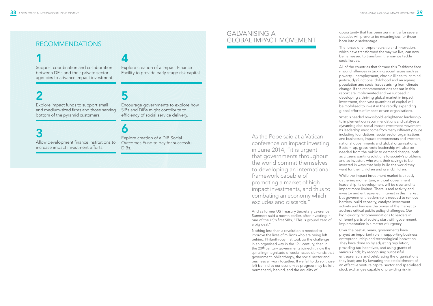# RECOMMENDATIONS

# 1

Support coordination and collaboration between DFIs and their private sector agencies to advance impact investment.

# 2

Explore impact funds to support small and medium-sized firms and those serving bottom of the pyramid customers.

# 3

Allow development finance institutions to increase impact investment efforts.

# 4

Explore creation of a Impact Finance Facility to provide early-stage risk capital.

# 5

Encourage governments to explore how SIBs and DIBs might contribute to efficiency of social service delivery.

# 6

Explore creation of a DIB Social Outcomes Fund to pay for successful DIBs.

As the Pope said at a Vatican conference on impact investing in June 2014, "it is urgent that governments throughout the world commit themselves to developing an international framework capable of promoting a market of high impact investments, and thus to combating an economy which excludes and discards."

And as former US Treasury Secretary Lawrence Summers said a month earlier, after investing in one of the US's first SIBs, "This is ground zero of a big deal."

What is needed now is bold, enlightened leadership to implement our recommendations and catalyse a dynamic global social impact investment movement. Its leadership must come from many different groups including foundations, social sector organisations and businesses, impact entrepreneurs and investors, national governments and global organisations. Bottom-up, grass roots leadership will also be needed from the public to demand change, both as citizens wanting solutions to society's problems and as investors who want their savings to be invested in ways that help build the world they want for their children and grandchildren.

Nothing less than a revolution is needed to improve the lives of millions who are being left behind. Philanthropy first took up the challenge in an organised way in the 19th century, then in the 20th century governments joined in; now the spiralling magnitude of social issues demands that government, philanthropy, the social sector and business all work together. If we fail to do so, those left behind as our economies progress may be left permanently behind, and the equality of

opportunity that has been our mantra for several decades will prove to be meaningless for those born into disadvantage.

The forces of entrepreneurship and innovation, which have transformed the way we live, can now be harnessed to transform the way we tackle social issues.

All of the countries that formed this Taskforce face major challenges in tackling social issues such as poverty, unemployment, chronic ill health, criminal justice, dysfunctional childhood and an ageing population and social issues arising from climate change. If the recommendations set out in this report are implemented and we succeed in developing a thriving global market in impact investment, then vast quantities of capital will be mobilised to invest in the rapidly expanding global efforts of impact-driven organisations.

While the impact investment market is already gathering momentum, without government leadership its development will be slow and its impact more limited. There is real activity and investor and entrepreneur interest in this market, but government leadership is needed to remove barriers, build capacity, catalyse investment activity and harness the power of the market to address critical public policy challenges. Our high-priority recommendations to leaders in different parts of society start with government. Implementation is a matter of urgency.

Over the past 40 years, governments have played an important role in supporting business entrepreneurship and technological innovation. They have done so by adjusting regulation, providing tax incentives, and using grants of various kinds; by recognising successful entrepreneurs and celebrating the organisations they lead; and by favouring the establishment of an effective venture capital sector and specialised stock exchanges capable of providing risk in

# GALVANISING A GLOBAL IMPACT MOVEMENT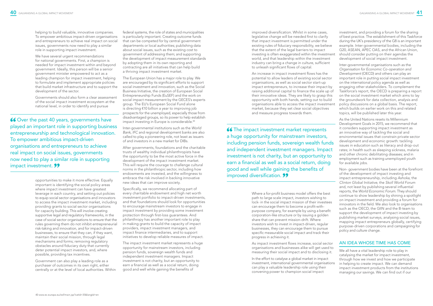helping to build valuable, innovative companies. To empower ambitious impact-driven organisations and entrepreneurs to achieve real impact on social issues, governments now need to play a similar role in supporting impact investment.

We have several urgent recommendations for national governments. First, a champion is needed for impact investment within and beyond government. Ideally, this person will be a senior government minister empowered to act as a leading champion for impact investment, helping to formulate and implement appropriate policies that build market infrastructure and to support the development of the sector.

Governments should also form a clear assessment of the social impact investment ecosystem at the national level, in order to identify and pursue

66 Over the past 40 years, governments have played an important role in supporting business entrepreneurship and technological innovation. To empower ambitious impact-driven organisations and entrepreneurs to achieve real impact on social issues, governments now need to play a similar role in supporting impact investment. 99

> opportunities to make it more effective. Equally important is identifying the social policy areas where impact investment can have greatest leverage in each country, and setting out policies to equip social sector organisations and innovators to access the impact investment market, including providing grants to social sector organisations for capacity building. This will involve creating supportive legal and regulatory frameworks, in the case of social sector organisations to ensure that the rules governing them do not inhibit entrepreneurial risk-taking and innovation, and for impact-driven businesses, to ensure that they can, if they want, maintain their social mission, through legal mechanisms and forms; removing regulatory obstacles around fiduciary duty that currently deter potential impact investors, and, where possible, providing tax incentives.

Government can also play a leading role as a purchaser of outcomes in its own right, either centrally or at the level of local authorities. Within

federal systems, the role of states and municipalities is particularly important. Creating outcome funds that can be competed for by central government departments or local authorities; publishing data about social issues, such as the existing cost to government of addressing them; and supporting the development of impact measurement standards by adopting them in its own reporting and contracting are all initiatives that can help build a thriving impact investment market.

The European Union has a major role to play. We are encouraged by its significant efforts to support social investment and innovation, such as the Social Business Initiative, the creation of European Social Entrepreneurship Funds (EuSEF) and the work on social impact measurement by the GECES's experts group. The EU's European Social Fund alone is directing €10 billion a year to improving job prospects for the unemployed, especially those from disadvantaged groups, so its power to help establish impact investing in Europe is considerable.40

Inter-governmental institutions such as the *World Bank, IFC* and regional development banks are also called to play a pioneering role, not least as issuers of and investors in a new market for DIBs.

After governments, foundations and the charitable trusts of wealthy individual philanthropists have the opportunity to be the most active force in the development of the impact investment market. This will require the courage to challenge cultural norms in the philanthropic sector, including how endowments are invested, and the willingness to embrace the risk involved in backing innovative new ideas that can improve society.

Specifically, we recommend allocating part of every charitable endowment and high net worth investment portfolio to impact-driven investments, and that foundations should look for opportunities to encourage mainstream investors to engage in impact investment by providing some investment protection through first-loss guarantees. And philanthropy has another important role to play in making grants to build the capacity of impact providers, impact investment managers, and impact finance intermediaries, and to support initiatives to develop reliable measures of impact.

The impact investment market represents a huge opportunity for mainstream investors, including pension funds, sovereign wealth funds and independent investment managers. Impact investment is not charity, but an opportunity to earn a financial as well as a social return, doing good and well while gaining the benefits of

We all have a vital leadership role to play in catalysing the market for impact investment, through how we invest and how we participate in helping to create impact. We can demand impact investment products from the institutions managing our savings. We can find out if our



improved diversification. Whilst in some cases, legislative change will be needed first to clarify that impact investment is permitted under the existing rules of fiduciary responsibility, we believe that the extent of the legal barriers to impact investing is often exaggerated within the investment world, and that leadership within the investment industry can bring a change in culture, sufficient to unleash significant flows of capital.

An increase in impact investment flows has the potential to allow leaders of existing social sector organisations, as well as social sector start-up impact entrepreneurs, to increase their impact by raising additional capital to finance the scale up of their innovative ideas. They are likely to grasp this opportunity with both hands, setting out to build organisations able to access the impact investment market, because they set clear social objectives and measure progress towards them.

66 The impact investment market represents a huge opportunity for mainstream investors, including pension funds, sovereign wealth funds and independent investment managers. Impact investment is not charity, but an opportunity to earn a financial as well as a social return, doing good and well while gaining the benefits of improved diversification. 99

> Where a for-profit business model offers the best path to large scale impact, investors wishing to lock- in the social impact mission of their investees can encourage them to become a profit-withpurpose company, for example by using a benefit corporation-like structure or by issuing a golden share that can prevent mission-drift. Where investors wish to invest in impact-driven, regular businesses, they can encourage them to pursue specific measurable social impact and track their progress in achieving it.

As impact investment flows increase, social sector organisations and businesses alike will get used to measuring their social impact and to disclosing it.

In the effort to catalyse a global market in impact investment, international governmental organisations can play a valuable leadership role using their convening power to champion social impact

investment, and providing a forum for the sharing of best practice. The establishment of this Taskforce during the UK's presidency of the G8 is an important example. Inter-governmental bodies, including the G20, ASEAN, APEC OAS, and the African Union, should consider putting on their agendas the development of social impact investment.

Inter-governmental organisations such as the *Organisation for Economic Co-operation and Development* (OECD) and others can play an important role in putting social impact investment on the international policy agenda as well as engaging other stakeholders. To complement the Taskforce's report, the OECD is preparing a report on the social investment market which aims to lay the groundwork for data collection, analysis and policy discussions on a global basis. The report, which builds on earlier work on this and related topics, will be published later this year.

As the United Nations resets its Millennium Development Goals in 2015, we recommend that it considers supporting impact investment as an innovative way of tackling the social and environmental issues that constrain private sector development and economic growth: tackling issues in education such as literacy and drop-out rates; in health such as sleeping sickness, malaria and other chronic debilitating diseases; and in employment such as training unemployed youth for available jobs.

Non- government bodies have been at the forefront of the development of impact investing and impact entrepreneurship, including *Ashoka,* the *Clinton Global Initiative,* the *Skoll World Forum* and, not least by publishing several influential reports, the *World Economic Forum*. They should continue to show leadership by shining a spotlight on impact investment and providing a forum for innovators in the field. We also look to organisations such as the OECD, the GIIN and the B-team to support the development of impact investing by publishing market surveys, analysing social issues, mapping impact entrepreneurs globally, certifying purpose-driven corporations and campaigning for policy and culture change.

# AN IDEA WHOSE TIME HAS COME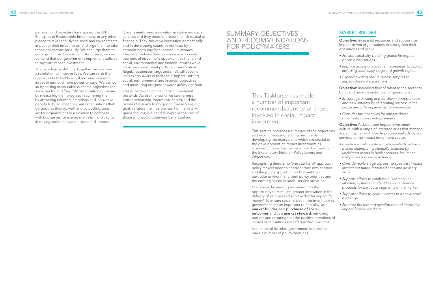pension fund providers have signed the UN Principles of Responsible Investment, or any other pledge to take seriously the social and environmental impact of their investments, and urge them to take those obligations seriously. We can urge them to engage in impact investment. As citizens, we can demand that our governments implement policies to support impact investment.

The paradigm is shifting. Together we can bring a revolution to improve lives. We can seize the opportunity to tackle social and environmental issues in new and more powerful ways. We can do so by setting measurable outcome objectives for social sector and for-profit organisations alike and by measuring their progress in achieving them; by attracting talented, ambitious and innovative people to build impact-driven organisations that do good as they do well; and by putting social sector organisations in a position to compete with businesses for managerial talent and capital in driving social innovation, scale and impact.

Governments need innovation in delivering social services and they need to attract the risk capital to finance it. They can drive innovation domestically and in developing countries not least by committing to pay for successful outcomes. The organisations they commission will create new sets of investment opportunities that blend social, environmental and financial returns while improving investment portfolio diversification. Regular businesses, large and small, will become increasingly aware of their social impact, setting social, environmental and financial objectives and measuring progress towards achieving them.

This is the revolution that impact investment portends. Across the world, we can harness entrepreneurship, innovation, capital and the power of markets to do good. If we achieve our goal, in future the invisible heart of markets will guide the invisible hand to improve the lives of those who would otherwise be left behind.

# SUMMARY OBJECTIVES AND RECOMMENDATIONS FOR POLICYMAKERS

This Taskforce has made a number of important recommendations to all those involved in social impact investment.

This section provides a summary of the objectives and recommendations for governments in developing the ecosystems which are crucial to the development of impact investment as a powerful force. Further detail can be found in the Explanatory Note on Policy Levers and Objectives.

Recognising there is no 'one size fits all' approach, policy makers need to consider their own context and the policy opportunities that suit their particular environment, their policy priorities and the existing nature of social service provision.

In all cases, however, government has the opportunity to stimulate greater innovation in the delivery of services and achieve 'better impact for money'. To ensure social impact investment thrives, government has an important role to play, as a market builder, as a purchaser of social outcomes and as a market steward, removing barriers and ensuring that the positive intentions of impact organisations are safeguarded over time.

In all three of its roles, government is called to make a number of policy decisions.



# MARKET BUILDER

Objective: Increased resources and support for impact-driven organisations to strengthen their operations and grow:

- *Provide capability-building grants for impactdriven organisations.*
- *Improve access of impact entrepreneurs to capital, including seed, early-stage and growth capital.*
- *Expand existing SME business support to impact-driven organisations.*

Objective: Increased flow of talent to the sector to build and grow impact-driven organisations:

- *Encourage existing impact-driven entrepreneurs and new entrants by celebrating success in the sector and offering rewards for innovation.*
- *Consider tax incentives for impact-driven organisations and entrepreneurs.*

Objective: A developed impact investment culture, with a range of intermediaries that manage impact capital and provide professional advice and services to the impact investment sector:

- *Create a social investment wholesaler to act as a market champion, potentially financed by unclaimed assets in bank accounts, insurance companies and pension funds.*
- *Consider early-stage support to specialist impact investment funds, intermediaries and advisory firms.*
- *Support efforts to establish a 'kitemark' or labelling system that identifies social finance products for particular segments of the market.*
- *Support efforts to enable access to a social stock exchange.*
- *Promote the use and development of innovative impact finance products.*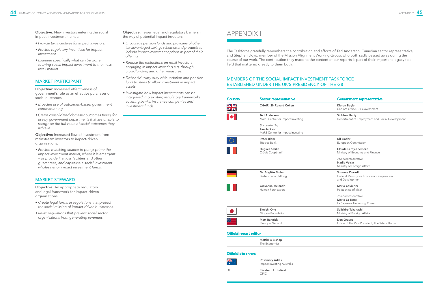**Objective:** New investors entering the social impact investment market:

**Objective:** Increased effectiveness of government's role as an effective purchaser of social outcomes:

- *Provide tax incentives for impact investors.*
- *Provide regulatory incentives for impact investment.*
- *Examine specifically what can be done to bring social impact investment to the mass retail market.*

# MARKET PARTICIPANT

**Objective:** Increased flow of investment from mainstream investors to impact-driven organisations:

**Objective:** An appropriate regulatory and legal framework for impact-driven organisations:

- *Broaden use of outcomes-based government commissioning.*
- *Create consolidated domestic outcomes funds, for use by government departments that are unable to recognise the full value of social outcomes they achieve.*

*• Provide matching finance to pump-prime the impact investment market, where it is emergent – or provide first loss facilities and other guarantees, and capitalise a social investment wholesaler or impact investment funds.*

# MARKET STEWARD

- *Create legal forms or regulations that protect the social mission of impact-driven businesses.*
- *Relax regulations that prevent social sector organisations from generating revenues.*

Objective: Fewer legal and regulatory barriers in the way of potential impact investors:

> DFI **Elizabeth Littlefield** OPIC

- *Encourage pension funds and providers of other tax-advantaged savings schemes and products to include impact investment options as part of their offering.*
- *Reduce the restrictions on retail investors engaging in impact investing e.g. through crowdfunding and other measures.*
- *Define fiduciary duty of foundation and pension fund trustees to allow investment in impact assets.*
- *Investigate how impact investments can be integrated into existing regulatory frameworks covering banks, insurance companies and investment funds.*

# APPENDIX I

# MEMBERS OF THE SOCIAL IMPACT INVESTMENT TASKFORCE ESTABLISHED UNDER THE UK'S PRESIDENCY OF THE G8

| Country                      | <b>Sector representative</b>                                           | <b>Government representative</b>                                                       |
|------------------------------|------------------------------------------------------------------------|----------------------------------------------------------------------------------------|
| $\frac{\text{N}}{\text{ZN}}$ | <b>CHAIR: Sir Ronald Cohen</b>                                         | Kieron Boyle<br>Cabinet Office, UK Government                                          |
|                              | <b>Ted Anderson</b><br>MaRS Centre for Impact Investing                | Siobhan Harty<br>Department of Employment and Social Development                       |
|                              | Succeeded by<br><b>Tim Jackson</b><br>MaRS Centre for Impact Investing |                                                                                        |
|                              | <b>Peter Blom</b><br><b>Triodos Bank</b>                               | <b>Ulf Linder</b><br>European Commission                                               |
|                              | <b>Hugues Sibille</b><br>Crédit Coopératif                             | <b>Claude Leroy-Themeze</b><br>Ministry of Economy and Finance                         |
|                              |                                                                        | Joint representative<br>Nadia Voisin<br>Ministry of Foreign Affairs                    |
|                              | Dr. Brigitte Mohn<br>Bertelsmann Stiftung                              | <b>Susanne Dorasil</b><br>Federal Ministry for Economic Cooperation<br>and Development |
|                              | Giovanna Melandri<br>Human Foundation                                  | <b>Mario Calderini</b><br>Politecnico of Milan                                         |
|                              |                                                                        | Joint representative<br>Mario La Torre<br>La Sapienza University, Rome                 |
|                              | Shuichi Ono<br>Nippon Foundation                                       | Seiichiro Takahashi<br>Ministry of Foreign Affairs                                     |
|                              | <b>Matt Bannick</b><br>Omidyar Network                                 | Don Graves<br>Office of the Vice President, The White House                            |
| متمعاناه والمستورد المتمثلات |                                                                        |                                                                                        |







## Official report editor

| <b>Matthew Bishop</b> |  |
|-----------------------|--|
| The Economist         |  |

# Official observers

Rosemary Addis Impact Investing Australia

The Taskforce gratefully remembers the contribution and efforts of Ted Anderson, Canadian sector representative, and Stephen Lloyd, member of the Mission Alignment Working Group, who both sadly passed away during the course of our work. The contribution they made to the content of our reports is part of their important legacy to a field that mattered greatly to them both.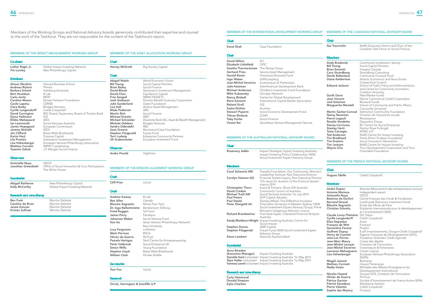### MEMBERS OF THE IMPACT MEASUREMENT WORKING GROUP

Jonathan Greenblatt Office of Social Innovation & Civic Participation, The White House

| ecretariat |
|------------|
|------------|

| <b>Co-chairs</b>                       |                                                             | Chair                                     |                                             |
|----------------------------------------|-------------------------------------------------------------|-------------------------------------------|---------------------------------------------|
| Luther Ragin Jr.<br><b>Tris Lumley</b> | Global Impact Investing Network<br>New Philanthropy Capital | Harvey McGrath                            | <b>Big Society Capital</b>                  |
|                                        |                                                             | <b>Chair</b>                              |                                             |
| <b>Members</b>                         |                                                             |                                           | World Economic Forum                        |
| Alnoor Ebrahim                         | Harvard Business School                                     | <b>Abigail Noble</b><br><b>Bill Young</b> | Social Capital Partners                     |
| <b>Andreas Rickert</b>                 | Phineo                                                      | <b>Brian Bailey</b>                       | Social Finance                              |
| Barbara Scheck                         | Hamburg University                                          | David Blood                               | Generation Investment Management            |
| <b>Bart Houlahan</b>                   | B Lab                                                       | David Chen                                | Equilibrium Capital                         |
| Carla Javits                           | <b>REDF</b>                                                 | <b>Fran Seegull</b>                       | <b>IMPACTASSETS</b>                         |
| <b>Caroline Mason</b>                  | Esmée Fairbairn Foundation                                  | Josh Gotbaum                              | Pension Benefit Guaranty Corporation        |
| Cecile Lapenu                          | <b>CERISE</b>                                               | <b>Julie Sunderland</b>                   | Gates Foundation                            |
| Clara Barby                            | <b>Bridges Ventures</b>                                     | Lisa Hall                                 | Anthos Asset Management                     |
| <b>Cyrille Langendorff</b>             | Credit Cooperatif                                           | <b>Mads Pedersen</b>                      | <b>UBS</b>                                  |
| <b>David Carrington</b>                | BSC Board, Supervisory Board of Triodos Bank                | <b>Martin Rich</b>                        | Social Finance                              |
| Diana Hollmann                         | GIZ                                                         | Michael Drexler                           | WEF                                         |
| <b>Elleke Maliepaard</b>               | <b>DEG</b>                                                  | Michael Schneider                         | Deutsche Bank AG, Asset & Wealth Management |
| lan Learmonth                          | Social Ventures Australia                                   | <b>Michele Giddens</b>                    | <b>Bridges Ventures</b>                     |
| James Hopegood                         | European Commission                                         | Sandra Odendahl                           | <b>RBC</b>                                  |
| Jeremy Nicholls                        | <b>SROI</b>                                                 | Sean Greene                               | Revolution/Case Foundation                  |
| Jim Clifford                           | Bates Wells Braithwaite                                     | Stephen Fitzgerald                        | Future Fund                                 |
| Karim Harji                            | Purpose Capital                                             | Terri Ludwig                              | <b>Enterprise Community Partners</b>        |
| Lila Preston                           | Generation Investment Management                            | Uli Grabenwater                           | European Investment Fund                    |
| Lisa Hehenberger                       | European Venture Philanthropy Association                   |                                           |                                             |
| <b>Mathieu Cornieti</b>                | <b>IMPACT</b> partenaires                                   | Observer                                  |                                             |
| <b>Yasemin Saltuk</b>                  | J.P. Morgan Social Finance                                  |                                           |                                             |
|                                        |                                                             | <b>Andre Perold</b>                       | HighVista                                   |
| <b>Observers</b>                       |                                                             |                                           |                                             |
| Antonella Nova                         | OECD                                                        |                                           |                                             |

| Abigail Rotheroe | New Philanthropy Capital        |
|------------------|---------------------------------|
| Kelly McCarthy   | Global Impact Investing Network |
|                  |                                 |

## Research and consultancy

| <b>Ben Funk</b>         | Monitor Deloitte |
|-------------------------|------------------|
| Carolien de Bruin       | Monitor Deloitte |
| Jessie Duncan           | Monitor Deloitte |
| <b>Kristen Sullivan</b> | Monitor Deloitte |

MEMBERS OF THE ASSET ALLOCATION WORKING GROUP

Members of the Working Groups and National Advisory boards generously contributed their expertise and counsel to the work of the Taskforce. They are not responsible for the content of the Taskforce's report.



MEMBERS OF THE MISSION ALIGNMENT WORKING GROUP

# **Secretariat**

Chair

Cliff Prior UnLtd

Tom Fox UnLtd

| <b>Chair</b>             |                                                                                                                                         | <b>Chair</b>                                |                                                                                   |
|--------------------------|-----------------------------------------------------------------------------------------------------------------------------------------|---------------------------------------------|-----------------------------------------------------------------------------------|
| Sonal Shah               | Case Foundation                                                                                                                         | Ilse Treurnicht                             | MaRS Discovery District and Chair of the<br>Canadian Task Force on Social Finance |
| <b>Chair</b>             |                                                                                                                                         | <b>Members</b>                              |                                                                                   |
| <b>David Wilton</b>      | <b>IFC</b>                                                                                                                              | <b>Andy Broderick</b>                       | Community Investment, Vancity                                                     |
| Elizabeth Littlefield    | OPIC                                                                                                                                    | <b>Bill Young</b>                           | Social Capital Partners                                                           |
| Geetha Tharmaratnam      | The Abraaj Group                                                                                                                        | <b>Brian Emmett</b>                         | Imagine Canada                                                                    |
| <b>Gerhard Pries</b>     | Sarona Asset Management                                                                                                                 | Coro Strandberg                             | <b>Strandberg Consulting</b>                                                      |
| <b>Harold Rosen</b>      | <b>Grassroots Business Fund</b>                                                                                                         | Derek Ballantyne                            | Community Forward Fund                                                            |
| Ingo Weber               | GIIN/Leapfrog                                                                                                                           | Diane Kelderman                             | Atlantic Economics and Nova Scotia                                                |
| Jean-Michel Severino     | Investisseurs et Partenaires                                                                                                            |                                             | Cooperative Council                                                               |
| Julie Katzman            | InterAmerican Development Bank                                                                                                          | <b>Edward Jackson</b>                       | School of Public Policy and Administration,                                       |
| Michael Anderson         | Children's Investment Fund Foundation                                                                                                   |                                             | and Centre for Community Innovation,                                              |
| Mike Kubzansky           | Omidyar Network                                                                                                                         | <b>Garth Davis</b>                          | Carleton University<br>New Market Funds                                           |
| Nancy Birdsall           | Centre for Global Development                                                                                                           | Jean Vincent                                | Native Commercial Credit Corporation                                              |
| <b>Rene Karsenti</b>     | International Capital Market Association                                                                                                | Joel Solomon                                | Renewal Funds                                                                     |
| Roland Groß              | GIZ                                                                                                                                     | <b>Marguerite Mendell</b>                   | School of Community and Public Affairs,                                           |
| Sasha Dichter            | Acumen                                                                                                                                  |                                             | Concordia University                                                              |
| <b>Stewart Paperin</b>   | Soros Economic Development Fund                                                                                                         | <b>Martin Garber-Conrad</b>                 | <b>Edmonton Community Foundation</b>                                              |
| <b>Tilman Ehrbeck</b>    | CGAP                                                                                                                                    | <b>Nancy Neamtan</b>                        | Chantier de l'économie sociale                                                    |
| <b>Toby Eccles</b>       | Social Finance                                                                                                                          | Pierre Legault                              | Renaissance                                                                       |
| <b>Vineet Rai</b>        | Aavishkaar Venture Management Service                                                                                                   | Rosalie Vendette<br><b>Stacey Corriveau</b> | Desjardins Group<br><b>BC Centre for Social Enterprise</b>                        |
|                          |                                                                                                                                         | <b>Stanley Hartt</b>                        | Norton Rose Fulbright                                                             |
|                          |                                                                                                                                         | <b>Tania Carnegie</b>                       | <b>KPMG LLP</b>                                                                   |
|                          |                                                                                                                                         | <b>Ted Anderson</b>                         | MaRS Centre for Impact Investing                                                  |
|                          | <b>MEMBERS OF THE AUSTRALIAN NATIONAL ADVISORY BOARD</b>                                                                                | <b>Tim Brodhead</b>                         | Pierre Elliott Trudeau Foundation                                                 |
|                          |                                                                                                                                         | <b>Tim Draimin</b>                          | Social Innovation Generation                                                      |
| <b>Chair</b>             |                                                                                                                                         | <b>Tim Jackson</b>                          | MaRS Centre for Impact Investing                                                  |
|                          |                                                                                                                                         | <b>Wayne Chiu</b>                           | Trico Developments Corporation and Trico                                          |
| <b>Rosemary Addis</b>    | Impact Strategist; Impact Investing Australia;<br>Impact Investing Policy Collaborative; NSW<br>Social Investment Expert Advisory Group |                                             | Charitable Foundation                                                             |
|                          |                                                                                                                                         |                                             | <b>MEMBERS OF THE FRENCH NATIONAL ADVISORY BOARD</b>                              |
| <b>Members</b>           |                                                                                                                                         |                                             |                                                                                   |
| <b>Carol Schwartz AM</b> | Trawalla Foundation; Our Community; Women's                                                                                             | <b>Chair</b>                                |                                                                                   |
|                          | Leadership Institute; Non Executive Director                                                                                            | <b>Hugues Sibille</b>                       | Crédit Coopératif                                                                 |
| Carolyn Hewson AO        | Financial System Inquiry, Non Executive Director                                                                                        |                                             |                                                                                   |
|                          | *On leave for duration of the Financial System<br>Inquiry 2014                                                                          | <b>Members</b>                              |                                                                                   |
| <b>Christopher Thorn</b> | Evans & Partners; Share Gift Australia                                                                                                  |                                             |                                                                                   |
| <b>David Crosbie</b>     | Community Council of Australia                                                                                                          | André Dupon                                 | Mouves (Mouvement des entrepreneurs sociaux)                                      |
| <b>Michael Traill AM</b> | Social Ventures Australia *to July 2014                                                                                                 | <b>Antoine Merieux</b><br>Antonella Noya    | Independent expert<br>OECD                                                        |
| <b>Paul Peters</b>       | <b>GVP Capital Advisers</b>                                                                                                             | Rástrice de Durfort                         | Cantra Francais das Fonds & Fondations                                            |

| <b>Chair</b>                                                                                                                                                             |                                                                                                                                                                                        |
|--------------------------------------------------------------------------------------------------------------------------------------------------------------------------|----------------------------------------------------------------------------------------------------------------------------------------------------------------------------------------|
| <b>Andrew Kassoy</b><br><b>Ben Allen</b><br><b>Blanche Segrestin</b><br>Dr. Ingo Ballschmieter<br><b>Fried Roggen</b><br><b>James Perry</b><br>Johannes Weber<br>Ken Ito | B-Lab<br>Oomph<br>Mines Paris Tech<br>Bertelsmann Stiftung<br>Si <sub>2</sub> Fund<br>Panahpur<br>Social Venture Fund<br>Asian Venture Philanthropy Network/                           |
| Lucy Fergusson<br>Mark Florman<br>Olivier de Guerre<br>Pamela Hartigan<br>Peter Holbrook<br>Simon Willis<br>Stephen Lloyd<br><b>William Clark</b>                        | Keio University<br>Linklaters<br><b>BVCA</b><br>PhiTrust<br>Skoll Centre for Entrepreneurship<br>Social Enterprise UK<br>Young Foundation<br>Bates Wells Braithwaite<br>Drinker Biddle |

### Research

Orrick, Herrington & Sutcliffe LLP

### MEMBERS OF THE INTERNATIONAL DEVELOPMENT WORKING GROUP MEMBERS OF THE CANADIAN NATIONAL ADVISORY BOARD

### Research and consultancy

| <b>Members</b>                  |                                                                                                    |                                                    |                                                     |
|---------------------------------|----------------------------------------------------------------------------------------------------|----------------------------------------------------|-----------------------------------------------------|
| <b>Carol Schwartz AM</b>        | Trawalla Foundation; Our Community; Women's                                                        | <b>Chair</b>                                       |                                                     |
|                                 | Leadership Institute; Non Executive Director                                                       | <b>Hugues Sibille</b>                              | Crédit Coopératif                                   |
| Carolyn Hewson AO               | Financial System Inquiry, Non Executive Director<br>*On leave for duration of the Financial System |                                                    |                                                     |
|                                 | Inquiry 2014                                                                                       | <b>Members</b>                                     |                                                     |
| <b>Christopher Thorn</b>        | Evans & Partners; Share Gift Australia                                                             | André Dupon                                        | Mouves (Mouvement des entrepreneurs sociaux)        |
| <b>David Crosbie</b>            | Community Council of Australia                                                                     | <b>Antoine Merieux</b>                             | Independent expert                                  |
| <b>Michael Traill AM</b>        | Social Ventures Australia *to July 2014                                                            | Antonella Nova                                     | OECD                                                |
| <b>Paul Peters</b>              | <b>GVP Capital Advisers</b>                                                                        | Béatrice de Durfort                                | Centre Français des Fonds & Fondations              |
| <b>Paul Steele</b>              | Donkey Wheel; The Difference Incubator<br>Chancellor University of Western Sydney; NSW             | <b>Bernard Giraud</b>                              | Livelihoods (Danone's investment fund)              |
| Peter Shergold AC               | Social Investment Expert Advisory Group; Prime                                                     | <b>Blanche Segrestin</b>                           | Ecole des Mines de Paris                            |
|                                 | Minister's Indigenous Advisory Council                                                             | Christian Schmitz.                                 | Solidarité internationale pour le développement     |
| <b>Richard Brandweiner</b>      | First State Super; Chartered Financial Analysts                                                    |                                                    | et l'investissement (SIDI)<br>DG Trésor             |
|                                 | Australia                                                                                          | Claude Leroy-Thémèze<br><b>Cyrille Langendorff</b> | Crédit Coopératif                                   |
|                                 | Sandy Blackburn-Wright Impact Investing Australia; Centre for                                      | <b>Elise Depecker</b>                              | Avise                                               |
|                                 | Social Impact                                                                                      | François de Witt                                   | Finansol                                            |
| <b>Stephen Dunne</b>            | <b>AMP Capital</b>                                                                                 | Geneviève Ferone                                   | Prophil                                             |
| Stephen Fitzgerald              | Future Fund; NSW Social Investment Expert                                                          | <b>Guilhem Dupuy</b>                               | Ecofi Investissements, Groupe Crédit Coopératif     |
|                                 | <b>Advisory Group</b>                                                                              | Henry de Cazotte                                   | Agence Française de Développement (AFD)             |
| <b>Steve Lambert</b>            | National Australia Bank                                                                            | Jean-Luc Perron                                    | Fondation Grameen Crédit Agricole                   |
|                                 |                                                                                                    | Jean-Marc Maury                                    | Caisse des dépôts                                   |
| <b>Secretariat</b>              |                                                                                                    | Jean-Michel Lecuver                                | Comptoir de l'Innovation                            |
| Anna Bowden                     |                                                                                                    | Jean-Michel Severino                               | Investisseurs & Partenaires                         |
| (Executive Manager)             | Impact Investing Australia                                                                         | Laurence Mehaignerie                               | Citizen Capital                                     |
|                                 | Danielle Kent (volunteer) Impact Investing Australia *to May 2014                                  | Lisa Hehenberger                                   | European Venture Philanthropy Association<br>(EVPA) |
| <b>Skye Heller</b> (volunteer)  | Impact Investing Australia *to May 2014                                                            | Magali Joessel                                     | <b>Bpifrance</b>                                    |
|                                 | Vanessa Lesnie (volunteer) Impact Investing Australia                                              | <b>Mathieu Cornieti</b>                            | <b>Impact Partenaires</b>                           |
|                                 |                                                                                                    | Nadia Voisin                                       | Ministère des Affaires Etrangères et du             |
| <b>Research and consultancy</b> |                                                                                                    |                                                    | Développement International                         |
|                                 |                                                                                                    | Nicolas Hazard                                     | Groupe SOS, Comptoir de l'Innovation                |
| Carly Hammond                   |                                                                                                    | Olivier de Guerre                                  | PhiTrust                                            |
| Donald Simpson                  |                                                                                                    | <b>Patrice Garnier</b>                             | Société d'Investissement de France Active (SIFA)    |
| Kylie Charlton                  |                                                                                                    | <b>Patrick Savadoux</b>                            | Mandarine Gestion                                   |
|                                 |                                                                                                    | <b>Pierre Valentin</b>                             | Crédit Coopératif                                   |
|                                 |                                                                                                    | Sophie des Mazery                                  | Finansol                                            |
|                                 |                                                                                                    |                                                    |                                                     |

# Se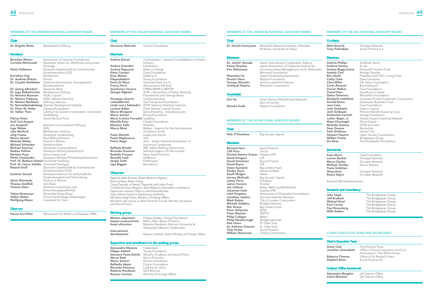### MEMBERS OF THE GERMAN NATIONAL ADVISORY BOARD

Dr. Brigitte Mohn Bertelsmann Stiftung

## **Members**

Chair

| Berenike Wiener                               | Association of German Foundations                   |
|-----------------------------------------------|-----------------------------------------------------|
| Cornelia Markowski                            | Deutscher Verein für öffentliche und private        |
|                                               | Fürsorge                                            |
| Diana Hollmann                                | Deutsche Gesellschaft für Internationale            |
|                                               | Zusammenarbeit (GIZ)                                |
| Dorothee Vog                                  | <b>BonVenture</b>                                   |
| Dr. Andreas Rickert                           | Phineo                                              |
| Dr. Claudia Wohlleber                         | Diakonie Deutschland - Evangelischer                |
|                                               | Bundesverband                                       |
| Dr. Georg Allendorf                           | Deutsche Bank                                       |
| Dr. Ingo Ballschmieter                        | Bertelsmann Stiftung                                |
| Dr. Mariana Bozesan                           | <b>AQAL Capital</b>                                 |
| Dr. Markus Freiburg                           | FASE, Ashoka Germany                                |
| Dr. Markus Nachbaur                           | Stiftung Liebenau                                   |
|                                               | Dr. NannetteLindenberg German Development Institute |
| Dr. Peter W. Heller                           | CanopusFoundation                                   |
| Dr. Volker Then                               | Centrum für Soziale Investitionen, Universität      |
|                                               | Heidelberg                                          |
| Florian Erber                                 | Social Venture Fund                                 |
| <b>Graf Carl-August</b>                       |                                                     |
| von Kospoth                                   | Eberhard von Kuenheim Stiftung                      |
| Ingo Weber                                    | GIIN                                                |
| Jake Benford                                  | Bertelsmann Stiftung                                |
| Jörg Freese                                   | Deutscher Landkreistag                              |
| Marco Janezic                                 | Blue RibbonPartners                                 |
| Melinda Weber                                 | Impact in Motion                                    |
| Michael Schneider                             | Deutsche Bank                                       |
| <b>Michael Sommer</b>                         | Deutscher Caritasverband                            |
| Nadine Köllner                                | Vodafone Stiftung Deutschland                       |
| Norbert Kunz                                  | Social Impact Lab                                   |
| Pieter Oostlander                             | European Venture PhilanthropyAssociation            |
| Prof. Dr. Barbara Scheck Universität Hamburg  |                                                     |
| Prof. Dr. Henry Schäfer Universität Stuttgart |                                                     |
| Roland Groß                                   | Deutsche Gesellschaft für Internationale            |
|                                               | Zusammenarbeit (GIZ)                                |
| Susanne Dorasil                               | Bundesministerium für wirtschaftliche               |
|                                               | Zusammenarbeit und Entwicklung                      |
| Sylvia Wisniwski                              | Finance in Motion                                   |
| Thomas Goldfuß                                | GLS Bank                                            |
| Thomas Klein                                  | Deutsche Investitions-und                           |
|                                               | Entwicklungsgesellschaft                            |
| Tobias Nowoczyn                               | Deutsches Rotes Kreuz                               |
| Volker Weber                                  | Forum Nachhaltige Geldanlagen                       |
| <b>Wolfgang Meyer</b>                         | Sozialwerk St. Geor                                 |

### **Observer**

Havva Acvi-Plüm Ministerium für Arbeit und Soziales, NRW

## MEMBERS OF THE ITALIAN NATIONAL ADVISORY BOARD

### Chair

Giovanna Melandri Human Foundation

### Members

## MEMBERS OF THE UK NATIONAL ADVISORY BOARD Chair Nick O'Donohoe Big Society Capital **Members Bernard Horn** Social Finance<br> **Cliff Prior** Unl td Cliff Prior Daniela Barone Soares Impetus-PEF **David Gregson** CRI<br> **David Hutchison** Social Finance **David Hutchison** Soc David Royce<br>Dawn Austwick Big Lottery Fund Deidre Davis Deutsche Bank **Geoff Mulgan** Nesta<br> **Harvey McGrath** Big So **Big Society Capital** James Perry Panahpur James Vaccaro Triodos **Jim Clifford** Bates, Wells and Braithwaite<br> **Johannes Huth** Impetus-PEF Johannes Huth<br>John Kingston Association of Charitable Foundations **Jonathan Jenkins** Social Investment Business Mark Boleat City of London Corporation Michele Giddens Bridges Ventures<br> **Nat Sloane** Big Lottery Fund Big Lottery Fund<br>SEUK **Peter Holbrook** SEUK<br> **Peter Wanless** NSPCC Peter Wanless **Philip Colligan** Nesta<br> **Philip Newborough** Bridges Ventures **Chair** Dr. Hiroshi Komiyama Mitsubishi Research Institute; President Emeritus, University of Tokyo **Members** Dr. Junichi Yamada Japan International Cooperation Agency<br>
Keizai Doyukai Japan Association of Corporate Executive Keizai Doyukai Japan Association of Corporate Executives Commons Asset Management; Eiichi Shibusawa Memorial Foundation Masataka Uo **Japan Fundraising Association Shuichi Ohno** Nippon Foundation<br>**Tomoya Shiraishi** Social Investment Pa **Tomoya Shiraishi** Social Investment Partners<br>**Yoshiyuki Nojima** Mitsubishi Corporation Mitsubishi Corporation **Secretariat** Ken Ito **Asian Venture Philanthropy Network/** Keio University Nanako Kudo Nippon Foundation

Philip Newborough **Rob Owen** St. Giles Trust<br>**Sir Anthony Greener** St. Giles Trust Sir Anthony Greener **Toby Eccles** Social Finance

William Shawcross Charity Commission

| Andrea Bairati                     | Confindustria - General Confederation of Italian |
|------------------------------------|--------------------------------------------------|
|                                    | Industry                                         |
| Andrea Orlandini                   | Extrabanca                                       |
| Andrea Rapaccini                   | Make a Change                                    |
| Elena Casolari                     | Opes Foundation                                  |
| <b>Enzo Manes</b>                  | IntekS.p.A                                       |
| FilippoAddarii                     | Young Foundation                                 |
| Dario Di Muro                      | Deutsche Bank S.p.A.                             |
| <b>Franca Perin</b>                | Assicurazioni Generali                           |
| Gianfranco Verzaro                 | FPBNL/BNPP e MEFOP                               |
| Giorgio Righetti                   | ACRI – Association of Italian Banking            |
|                                    | Foundations and Savings Banks                    |
| Giuseppe Guerini                   | Confcooperative                                  |
| LetiziaMoratti                     | San Patrignano Foundation                        |
| Linda Laura Sabbadini              | <b>ISTAT National Statistics Institute</b>       |
| Luciano Balbo                      | Oltre Venture Capital Sociale                    |
| Marco Morganti                     | BancaProssima – IntesaSanpaolo                   |
| Marco Santori                      | EtimosFoundation                                 |
| Maria Cristina Ferradini Sodalitas |                                                  |
| Mariella Enoc                      | Cariplo Foundation                               |
| Maurizio Sella                     | Smartika                                         |
| Mauro Marè                         | Mefop – Agency for the development               |
|                                    | of pension funds                                 |
| Paola Menetti                      | LegaCoop Sociali                                 |
| Paolo Migliavacca                  | Vita                                             |
| Pietro Negri                       | Ania - Italian National Association of           |
|                                    | Insurance Companies                              |
| Raffaele Rinaldi                   | ABI- Italian Banking Association                 |
| Riccardo Graziano                  | National Agency for Microcredit                  |
| Rodolfo Fracassi                   | <b>Main Street Partners</b>                      |
| Rossella Leidi                     |                                                  |
|                                    | UbiBanca                                         |
| Sergio Gatti                       | Federcasse                                       |
| Ugo Biggeri                        | BancaEtica                                       |

## **Observers**

Agenzia delle Entrate, Italian Revenue Agency Banca d'Italia, Bank of Italy Cassa Depositi e Prestiti, Deposits and Loans Fund Conferenza Stato-Regioni, State-Regions permanent conference Diplomatic Advisor Office to the Prime Minister Ivass, Italian Insurance Supervisory Authority Ministero degli Esteri, Ministry of Foreign Affairs Ministero del Lavoro e delle Politiche Sociali, Ministry of Labour and Social Policy

# Working groups

| <b>Mission alignment</b><br>Impact measurement<br><b>Asset allocation</b> | Filippo Addarii, Young Foundation<br>Marco Ratti, Banca Prossima<br>Roberto Randazzo, Bocconi University &<br>Alessandro Messina, Federcasse |
|---------------------------------------------------------------------------|----------------------------------------------------------------------------------------------------------------------------------------------|
| International<br>development                                              | Rosario Centola, Italian Ministry of Foreign Affairs                                                                                         |

### Rapporteur and coordinators to the working groups

Alessandro Messina Federcasse<br>
Filippo Addarii Young Four **Filippo Addarii** Young Foundation<br>**Giovanni Festa Danilo** Ministry of Labour Giovanni Festa Danilo Ministry of Labour and Social Policy<br>
Marco Ratti Banca Prossima **Marco Ratti** Banca Prossima<br>**Marco Santori** Etimos Foundati **Marco Santori** Etimos Foundation<br>**Raffaella Abate** Cariplo Foundation Raffaella Abate Cariplo Foundation<br>
Riccardo Petrocca Looking for Value **Looking for Value Roberto Randazzo** SDA Bocconi<br> **Rosario Centola** Ministry of Fo Ministry of Foreign Affairs

## MEMBERS OF THE JAPANESE NATIONAL ADVISORY BOARD



### Co-chairs

**Matt Bannick Cannick** Omidyar Network<br> **Tracy Palandjian** Social Finance U.S

Social Finance U.S.

### Members

Andrea Phillips<br>
Andrew Kassoy<br>
B Lab Andrew Kassoy<br>Antony Bugg-Levine **Audrey Choi** Morgan Stanley **Cathy Clark** Duke University<br> **Clara Miller** F.B. Heron Foun **Curtis Ravenel<br>Darren Walker Jean Case Case Case Foundation**<br> **John Goldstein Imprint Capital** Kimberlee Cornett<br>Luther Ragin, Jr. Maya Chorengel Elevar Equity Michelle Greene NYSE Euronext Sean Greene Revolution **Seth Goldman** Honest Tea<br> **Stewart Paperin** Open Societ

Nonprofit Finance Fund **Ben Hecht** President and CEO, Living Cities F.B. Heron Foundation<br>Bloomberg LP Ford Foundation David Chen **Equilibrium Capital Debra Schwartz** MacArthur Foundation<br>**Elizabeth Littlefield** Overseas Private Invest **Elizabeth Littlefield** Overseas Private Investment Corporation<br> **Harold Rosen** Grassroots Business Fund Harold Rosen Grassroots Business Fund<br>
Jean Case Case Foundation Imprint Capital **Josh Gotbaum** Pension Benefit Guaranty Corp<br> **Kimberlee Cornett** Kresge Foundation Global Impact Investing Network **Stewart Paperin** Open Society Foundations<br> **William Foster** Bridgespan Group Bridgespan Group **Zia Khan** The Rockefeller Foundation

### **Secretariat**

| Kate Ahern            | Case Foundation |
|-----------------------|-----------------|
| Lauren Booker         | Omidyar Network |
| Maura Donlan          | Omidyar Network |
| <b>Michael Chodos</b> | Senior Advisor  |
| Paula Goldman         |                 |
| (Executive)           | Omidyar Network |
| Rosita Najmi          | Omidyar Network |

Rational 360 (dissemination)

### Research and consultancy

| The Bridgespan Group |
|----------------------|
| The Bridgespan Group |
| The Bridgespan Group |
| The Bridgespan Group |
| The Bridgespan Group |
| The Bridgespan Group |
|                      |

### CHAIR'S EXECUTIVE TEAM AND SECRETARIAT

### Chair's Executive Team

| Aimie Cole<br>Jonathan Greenblatt | The Portland Trust<br>Office of Social Innovation and Civic<br>Participation, The White House |
|-----------------------------------|-----------------------------------------------------------------------------------------------|
| Rebecca Thomas                    | Office of Sir Ronald Cohen                                                                    |
| Stephen Brien                     | Social Finance UK                                                                             |

## Cabinet Office Secretariat

| Alexandra Meagher      | UK Cabinet Office |
|------------------------|-------------------|
| <b>Claire Michelet</b> | UK Cabinet Office |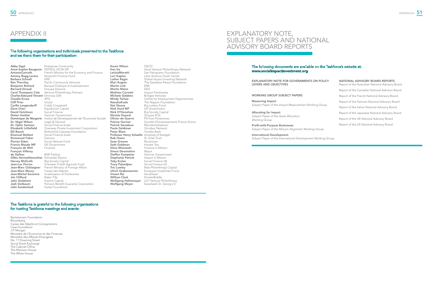## The following organisations and individuals presented to the Taskforce and we thank them for their participation:

Abby Sigal Enterprise Community<br>Anne-Sophie Bougouin FEFISOL SICAV-SIF Anne-Sophie Bougouin Antony Bugg-Levine Nonprofit Finance Fund<br>Barbara Schnell KfW Barbara Schnell<br>Ben Thornley Bernard Giraud Groupe Danone<br>
Carol Thompson Cole Venture Philanth Charles-Edouard Vincent Emm<br>Claudia Kruse APG **Claudia Kruse** APG<br> **Cliff Prior** UnLtd Cliff Prior<br>
Cyrille Langendorff<br>
Crédit Coopératif Cyrille Langendorff<br>Dave Chen David Hutchison<br>Dieter Hackler Dieter Hackler German Government<br> **Dominique de Margerie** Institut de Développer **Dr. Nigel Wilson** Legal & General<br> **Dr. Ophir Samson** Social Finance Is **Dr. Ophir Samson** Social Finance Israel<br> **Elizabeth Littlefield** Overseas Private Inv Emmanuel Faber Danone<br>
Florian Erber Social Ve **Francis Maude MP** UK Goven<br> **Francois de Witt** Finansol François de Witt François Villeroy Gilles VermotDesroches Schneider Electric<br>Harvey McGrath Big Society Capita Harvey McGrath Big Society Capital<br>
Jean-Luc Perron Grameen Crédit Ac **Jean-Marc Maury Caisse des Dépôts<br>Jean-Michel Severino** Investisseurs et Par **Jim Clifford** Baker Tilly<br> **John Goldstein** Imprint Capital John Goldstein<br>Josh Gotbaum **Julie Sunderland Gates Foundation** 

French Ministry for the Economy and Finance **Ben Thornley** Pacific Community Ventures<br> **Benjamin Richard** Bangue Publique d'investisse Benjamin Richard Banque Publique d'investissement<br>
Bernard Giraud Groupe Danone Venture Philanthropy Partners<br>Emmaüs Défi Equilibrium Capital<br>Social Finance Dominique de Margerie Institut de Développement de l'Economie Sociale<br>Dr. Nigel Wilson Legal & General Elizabeth Littlefield Overseas Private Investment Corporation<br>
Elli Booch **Blument Contains**<br>
Rothschild Caesarea Foundation **Elli Booch** Rothschild Caesarea Foundation<br> **Emanuel Bohbot** Social Finance Israel Social Finance Israel Social Venture Fund<br>UK Government BNP Paribas **Jean-Luc Perron** Grameen Crédit Agricole Fund<br>**Jean-Marc Châtaigner** French Ministry of Foreign Affair Jean-Marc Châtaigner French Ministry of Foreign Affairs<br>Jean-Marc Maury Caisse des Dépôts Investisseurs et Partenaires<br>Baker Tilly Pension Benefit Guaranty Corporation

**Karen Wilson CECD<br>
Ken Ito Asian \** Martin Link KfW Martin Mainz<br>Mathieu Cornieti Mathieu Cornieti Impact Partenaires<br>
Michele Giddens Bridges Ventures Michele Giddens Bridges Ventures<br>
Mindy Tarlow Centre for Emplo **NanakoKudo** The Nippon Foundation<br> **Nat Sloane** Big Lottery Fund **Nat Sloane** Big Lottery Fund<br> **Nick Hurd MP** UK Government **Nick Hurd MP** UK Government<br> **Nick O'Donohoe** Big Society Cap Nicolas Hazard<br>Olivier de Guerre **Olivier de Guerre** PhiTrust Partenaires<br>**Patrice Garnier** Société d'Investisser **Patrick Savadoux** MandarineGestion<br>**Paula Goldman** Omidyar Network **Paula Goldman** Omidyar Network<br> **Peter Blom** Triodos Bank **Professor Henry Schaefer** University of Stuttgart<br>Rob Owen Sean Greene Revolution<br>
Seth Goldman Honest Tea Seth Goldman<br>Silvia Wisniwski **Simon Devonshire** Wayra<br>**Steffen Kampeter** Germal Steffen Kampeter German Government<br>
Stephanie Petrick Impact in Motion Stephanie Petrick Impact in Motion<br> **Toby Eccles** Social Finance UK Toby Eccles<br>
Tracy Palandiian<br>
Social Finance US Tracy Palandjian<br>
Tris Lumley<br>
Tris Lumley<br>
New Philanthropy Tris Lumley<br>
Ulrich Grabenwarter European Investment Fun Vineet Rai<br>William Clark William Clark<br>
Wolfgang Hafenmayer
LGT Venture F Wolfgang Hafenmayer LGT Venture Philanthropy<br>
Wolfgang Meyer Sozialwerk St. Georg e.V.

Ken Ito **Asian Venture Philanthropy Network**<br>
Letizia Moratti **Asian Patrignano Foundation LetiziaMoratti** San Patrignano Foundation<br> **Lori Kaplan** Latin America Youth Centre **Lori Kaplan** Latin America Youth Centre<br> **Luther Ragin** Global Impact Investing Ne **Luther Ragin** Global Impact Investing Network<br> **Mari Kogiso** The Sasakawa Peace Foundation The Sasakawa Peace Foundation<br>KfW **Mindy Tarlow** Centre for Employment Opportunities<br> **NanakoKudo** The Nippon Foundation Big Society Capital<br>Groupe SOS **Patrice Garnier** Société d'Investissements France Active<br> **Patrick Savadoux** Mandarine Gestion Triodos Bank St. Giles Trust<br>Revolution Finance in Motion European Investment Fund<br>Aavishkaar Sozialwerk St. Georg e.V.

## The Taskforce is grateful to the following organisations for hosting Taskforce meetings and events:

Bertelsmann Foundation Bloomberg Caisse des Dépôts et Consignations Case Foundation J.P. Morgan Ministère de l'Economie et des Finances Ministère des Affaires Etrangères No. 11 Downing Street Social Stock Exchange The Cabinet Office The Mansion House The White House



# APPENDIX II

## The following documents are available on the Taskforce's website at: www.socialimpactinvestment.org

EXPLANATORY NOTE FOR GOVERNMENTS ON POLICY LEVERS AND OBJECTIVES

### WORKING GROUP SUBJECT PAPERS

Measuring Impact *Subject Paper of the Impact Measurement Working Group*

Allocating for Impact *Subject Paper of the Asset Allocation Working Group*

Profit-with-Purpose Businesses *Subject Paper of the Mission Alignment Working Group*

International Development *Subject Paper of the International Development Working Group*

# NATIONAL ADVISORY BOARD REPORTS Report of the Australian National Advisory Board Report of the Canadian National Advisory Board Report of the French National Advisory Board Report of the German National Advisory Board Report of the Italian National Advisory Board Report of the Japanese National Advisory Board Report of the UK National Advisory Board Report of the US National Advisory Board

# EXPLANATORY NOTE, SUBJECT PAPERS AND NATIONAL ADVISORY BOARD REPORTS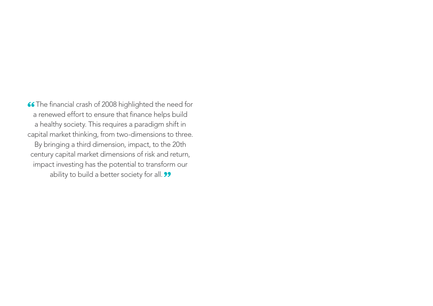66 The financial crash of 2008 highlighted the need for a renewed effort to ensure that finance helps build a healthy society. This requires a paradigm shift in capital market thinking, from two-dimensions to three. By bringing a third dimension, impact, to the 20th century capital market dimensions of risk and return, impact investing has the potential to transform our ability to build a better society for all. 99